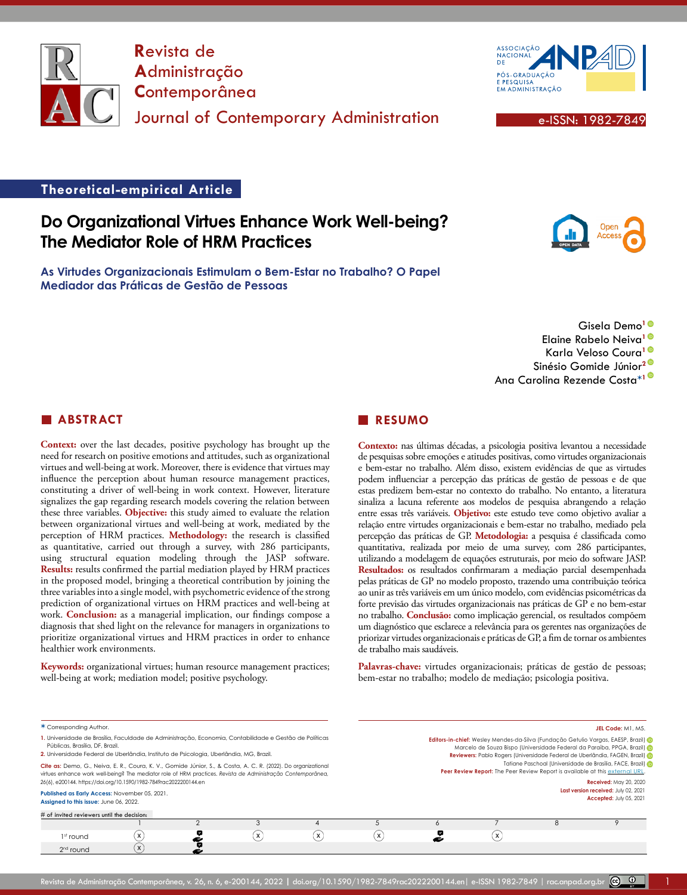

**R**evista de **A**dministração **C**ontemporânea Journal of Contemporary Administration **Executive Contemporary Administration** 



### **Theoretical-empirical Article**

# **Do Organizational Virtues Enhance Work Well-being? The Mediator Role of HRM Practices**

**As Virtudes Organizacionais Estimulam o Bem-Estar no Trabalho? O Papel Mediador das Práticas de Gestão de Pessoas**



Gisela Demo**[1](https://orcid.org/0000-0003-1864-0471)** Elaine Rabelo Neiva**[1](https://orcid.org/0000-0003-0503-3234)** Karla Veloso Coura**[1](https://orcid.org/0000-0002-7302-0403)** Sinésio Gomide Júnior**[2](https://orcid.org/0000-0003-0944-4380)** Ana Carolina Rezende Costa**\*[1](https://orcid.org/0000-0003-2078-3797)**

#### **ABSTRACT**

**Context:** over the last decades, positive psychology has brought up the need for research on positive emotions and attitudes, such as organizational virtues and well-being at work. Moreover, there is evidence that virtues may influence the perception about human resource management practices, constituting a driver of well-being in work context. However, literature signalizes the gap regarding research models covering the relation between these three variables. **Objective:** this study aimed to evaluate the relation between organizational virtues and well-being at work, mediated by the perception of HRM practices. **Methodology:** the research is classified as quantitative, carried out through a survey, with 286 participants, using structural equation modeling through the JASP software. **Results:** results confirmed the partial mediation played by HRM practices in the proposed model, bringing a theoretical contribution by joining the three variables into a single model, with psychometric evidence of the strong prediction of organizational virtues on HRM practices and well-being at work. **Conclusion:** as a managerial implication, our findings compose a diagnosis that shed light on the relevance for managers in organizations to prioritize organizational virtues and HRM practices in order to enhance healthier work environments.

**Keywords:** organizational virtues; human resource management practices; well-being at work; mediation model; positive psychology.

#### **RESUMO**

**Contexto:** nas últimas décadas, a psicologia positiva levantou a necessidade de pesquisas sobre emoções e atitudes positivas, como virtudes organizacionais e bem-estar no trabalho. Além disso, existem evidências de que as virtudes podem influenciar a percepção das práticas de gestão de pessoas e de que estas predizem bem-estar no contexto do trabalho. No entanto, a literatura sinaliza a lacuna referente aos modelos de pesquisa abrangendo a relação entre essas três variáveis. **Objetivo:** este estudo teve como objetivo avaliar a relação entre virtudes organizacionais e bem-estar no trabalho, mediado pela percepção das práticas de GP. **Metodologia:** a pesquisa é classificada como quantitativa, realizada por meio de uma survey, com 286 participantes, utilizando a modelagem de equações estruturais, por meio do software JASP. **Resultados:** os resultados confirmaram a mediação parcial desempenhada pelas práticas de GP no modelo proposto, trazendo uma contribuição teórica ao unir as três variáveis em um único modelo, com evidências psicométricas da forte previsão das virtudes organizacionais nas práticas de GP e no bem-estar no trabalho. **Conclusão:** como implicação gerencial, os resultados compõem um diagnóstico que esclarece a relevância para os gerentes nas organizações de priorizar virtudes organizacionais e práticas de GP, a fim de tornar os ambientes de trabalho mais saudáveis.

Palavras-chave: virtudes organizacionais; práticas de gestão de pessoas; bem-estar no trabalho; modelo de mediação; psicologia positiva.

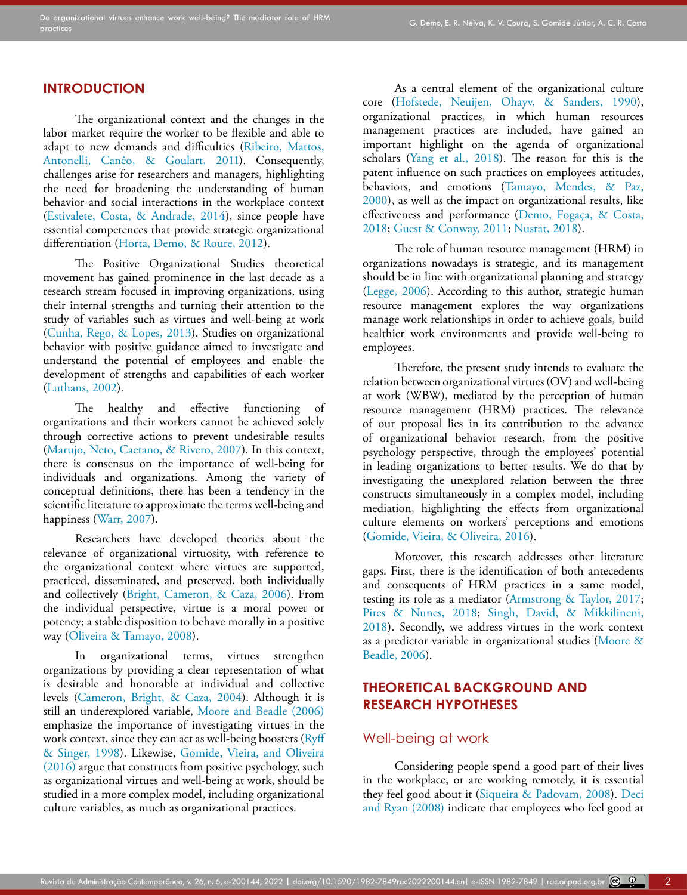## **INTRODUCTION**

The organizational context and the changes in the labor market require the worker to be flexible and able to adapt to new demands and difficulties (Ribeiro, Mattos, Antonelli, Canêo, & Goulart, 2011). Consequently, challenges arise for researchers and managers, highlighting the need for broadening the understanding of human behavior and social interactions in the workplace context ([Estivalete, Costa, & Andrade, 2014\)](#page-12-0), since people have essential competences that provide strategic organizational differentiation [\(Horta, Demo, & Roure, 2012\)](#page-12-1).

The Positive Organizational Studies theoretical movement has gained prominence in the last decade as a research stream focused in improving organizations, using their internal strengths and turning their attention to the study of variables such as virtues and well-being at work ([Cunha, Rego, & Lopes, 2013\)](#page-11-0). Studies on organizational behavior with positive guidance aimed to investigate and understand the potential of employees and enable the development of strengths and capabilities of each worker ([Luthans, 2002\)](#page-13-0).

The healthy and effective functioning of organizations and their workers cannot be achieved solely through corrective actions to prevent undesirable results ([Marujo, Neto, Caetano, & Rivero, 2007](#page-13-1)). In this context, there is consensus on the importance of well-being for individuals and organizations. Among the variety of conceptual definitions, there has been a tendency in the scientific literature to approximate the terms well-being and happiness (Warr, 2007).

Researchers have developed theories about the relevance of organizational virtuosity, with reference to the organizational context where virtues are supported, practiced, disseminated, and preserved, both individually and collectively [\(Bright, Cameron, & Caza, 2006](#page-11-1)). From the individual perspective, virtue is a moral power or potency; a stable disposition to behave morally in a positive way [\(Oliveira & Tamayo, 2008](#page-13-2)).

In organizational terms, virtues strengthen organizations by providing a clear representation of what is desirable and honorable at individual and collective levels ([Cameron, Bright, & Caza, 2004\)](#page-11-2). Although it is still an underexplored variable, [Moore and Beadle \(2006\)](#page-13-3) emphasize the importance of investigating virtues in the work context, since they can act as well-being boosters [\(Ryff](#page-14-0)  [& Singer, 1998](#page-14-0)). Likewise, [Gomide, Vieira, and Oliveira](#page-12-2)  [\(2016\)](#page-12-2) argue that constructs from positive psychology, such as organizational virtues and well-being at work, should be studied in a more complex model, including organizational culture variables, as much as organizational practices.

As a central element of the organizational culture core ([Hofstede, Neuijen, Ohayv, & Sanders, 1990\)](#page-12-3), organizational practices, in which human resources management practices are included, have gained an important highlight on the agenda of organizational scholars (Yang et al., 2018). The reason for this is the patent influence on such practices on employees attitudes, behaviors, and emotions (Tamayo, Mendes, & Paz, 2000), as well as the impact on organizational results, like effectiveness and performance (Demo, Fogaça, & Costa, 2018; [Guest & Conway, 2011;](#page-12-4) [Nusrat, 2018\)](#page-13-4).

The role of human resource management (HRM) in organizations nowadays is strategic, and its management should be in line with organizational planning and strategy [\(Legge, 2006\)](#page-12-5). According to this author, strategic human resource management explores the way organizations manage work relationships in order to achieve goals, build healthier work environments and provide well-being to employees.

Therefore, the present study intends to evaluate the relation between organizational virtues (OV) and well-being at work (WBW), mediated by the perception of human resource management (HRM) practices. The relevance of our proposal lies in its contribution to the advance of organizational behavior research, from the positive psychology perspective, through the employees' potential in leading organizations to better results. We do that by investigating the unexplored relation between the three constructs simultaneously in a complex model, including mediation, highlighting the effects from organizational culture elements on workers' perceptions and emotions [\(Gomide, Vieira, & Oliveira, 2016\)](#page-12-2).

Moreover, this research addresses other literature gaps. First, there is the identification of both antecedents and consequents of HRM practices in a same model, testing its role as a mediator [\(Armstrong & Taylor, 2017](#page-11-3); [Pires & Nunes, 2018](#page-13-5); [Singh, David, & Mikkilineni,](#page-14-1) [2018\)](#page-14-1). Secondly, we address virtues in the work context as a predictor variable in organizational studies [\(Moore &](#page-13-3) [Beadle, 2006](#page-13-3)).

## **THEORETICAL BACKGROUND AND RESEARCH HYPOTHESES**

## Well-being at work

Considering people spend a good part of their lives in the workplace, or are working remotely, it is essential they feel good about it [\(Siqueira & Padovam, 2008\)](#page-14-2). [Deci](#page-11-4) [and Ryan \(2008\)](#page-11-4) indicate that employees who feel good at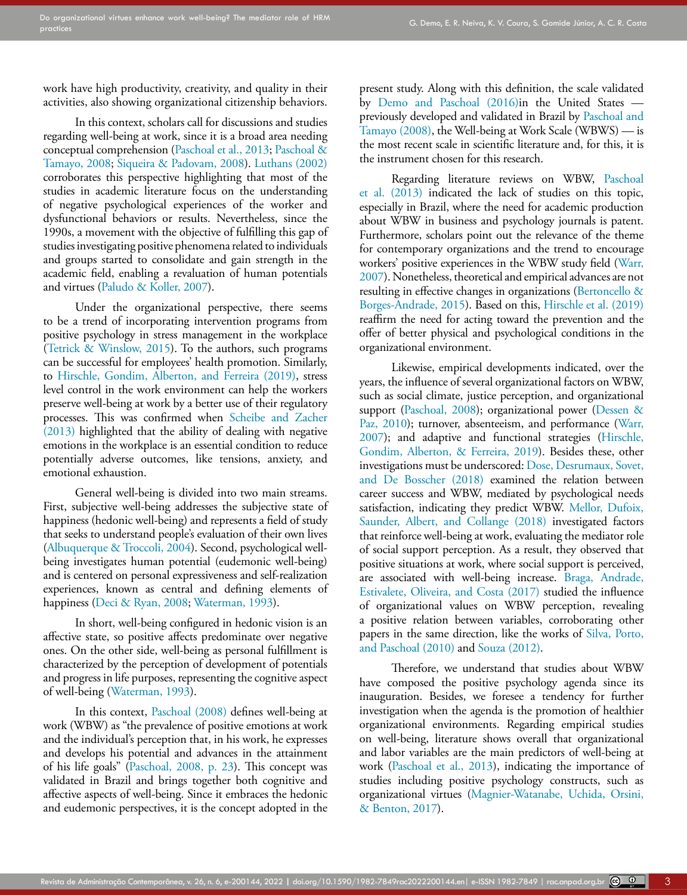work have high productivity, creativity, and quality in their activities, also showing organizational citizenship behaviors.

In this context, scholars call for discussions and studies regarding well-being at work, since it is a broad area needing conceptual comprehension [\(Paschoal et al., 2013;](#page-13-6) [Paschoal &](#page-13-7)  [Tamayo, 2008](#page-13-7); [Siqueira & Padovam, 2008\)](#page-14-2). [Luthans \(2002\)](#page-13-0) corroborates this perspective highlighting that most of the studies in academic literature focus on the understanding of negative psychological experiences of the worker and dysfunctional behaviors or results. Nevertheless, since the 1990s, a movement with the objective of fulfilling this gap of studies investigating positive phenomena related to individuals and groups started to consolidate and gain strength in the academic field, enabling a revaluation of human potentials and virtues [\(Paludo & Koller, 2007](#page-13-8)).

Under the organizational perspective, there seems to be a trend of incorporating intervention programs from positive psychology in stress management in the workplace (Tetrick & Winslow, 2015). To the authors, such programs can be successful for employees' health promotion. Similarly, to [Hirschle, Gondim, Alberton, and Ferreira \(2019\)](#page-12-6), stress level control in the work environment can help the workers preserve well-being at work by a better use of their regulatory processes. This was confirmed when [Scheibe and Zacher](#page-14-3)  [\(2013\)](#page-14-3) highlighted that the ability of dealing with negative emotions in the workplace is an essential condition to reduce potentially adverse outcomes, like tensions, anxiety, and emotional exhaustion.

General well-being is divided into two main streams. First, subjective well-being addresses the subjective state of happiness (hedonic well-being) and represents a field of study that seeks to understand people's evaluation of their own lives ([Albuquerque & Troccoli, 2004](#page-11-5)). Second, psychological wellbeing investigates human potential (eudemonic well-being) and is centered on personal expressiveness and self-realization experiences, known as central and defining elements of happiness ([Deci & Ryan, 2008;](#page-11-4) Waterman, 1993).

In short, well-being configured in hedonic vision is an affective state, so positive affects predominate over negative ones. On the other side, well-being as personal fulfillment is characterized by the perception of development of potentials and progress in life purposes, representing the cognitive aspect of well-being (Waterman, 1993).

In this context, [Paschoal \(2008\)](#page-13-9) defines well-being at work (WBW) as "the prevalence of positive emotions at work and the individual's perception that, in his work, he expresses and develops his potential and advances in the attainment of his life goals" ([Paschoal, 2008, p. 23](#page-13-9)). This concept was validated in Brazil and brings together both cognitive and affective aspects of well-being. Since it embraces the hedonic and eudemonic perspectives, it is the concept adopted in the present study. Along with this definition, the scale validated by [Demo and Paschoal \(2016\)](#page-12-7)in the United States previously developed and validated in Brazil by [Paschoal and](#page-13-7) [Tamayo \(2008\),](#page-13-7) the Well-being at Work Scale (WBWS) — is the most recent scale in scientific literature and, for this, it is the instrument chosen for this research.

Regarding literature reviews on WBW, [Paschoal](#page-13-6) [et al. \(2013\)](#page-13-6) indicated the lack of studies on this topic, especially in Brazil, where the need for academic production about WBW in business and psychology journals is patent. Furthermore, scholars point out the relevance of the theme for contemporary organizations and the trend to encourage workers' positive experiences in the WBW study field (Warr, 2007). Nonetheless, theoretical and empirical advances are not resulting in effective changes in organizations [\(Bertoncello &](#page-11-6) [Borges-Andrade, 2015\)](#page-11-6). Based on this, [Hirschle et al. \(2019\)](#page-12-6) reaffirm the need for acting toward the prevention and the offer of better physical and psychological conditions in the organizational environment.

Likewise, empirical developments indicated, over the years, the influence of several organizational factors on WBW, such as social climate, justice perception, and organizational support ([Paschoal, 2008](#page-13-9)); organizational power [\(Dessen &](#page-12-8) [Paz, 2010\)](#page-12-8); turnover, absenteeism, and performance (Warr, 2007); and adaptive and functional strategies [\(Hirschle,](#page-12-6) [Gondim, Alberton, & Ferreira, 2019\)](#page-12-6). Besides these, other investigations must be underscored: [Dose, Desrumaux, Sovet,](#page-12-9) [and De Bosscher \(2018\)](#page-12-9) examined the relation between career success and WBW, mediated by psychological needs satisfaction, indicating they predict WBW. [Mellor, Dufoix,](#page-13-10) [Saunder, Albert, and Collange \(2018\)](#page-13-10) investigated factors that reinforce well-being at work, evaluating the mediator role of social support perception. As a result, they observed that positive situations at work, where social support is perceived, are associated with well-being increase. [Braga, Andrade,](#page-11-7) [Estivalete, Oliveira, and Costa \(2017\)](#page-11-7) studied the influence of organizational values on WBW perception, revealing a positive relation between variables, corroborating other papers in the same direction, like the works of [Silva, Porto,](#page-14-4) [and Paschoal \(2010\)](#page-14-4) and [Souza \(2012\)](#page-14-5).

Therefore, we understand that studies about WBW have composed the positive psychology agenda since its inauguration. Besides, we foresee a tendency for further investigation when the agenda is the promotion of healthier organizational environments. Regarding empirical studies on well-being, literature shows overall that organizational and labor variables are the main predictors of well-being at work ([Paschoal et al., 2013](#page-13-6)), indicating the importance of studies including positive psychology constructs, such as organizational virtues ([Magnier-Watanabe, Uchida, Orsini,](#page-13-11) [& Benton, 2017\)](#page-13-11).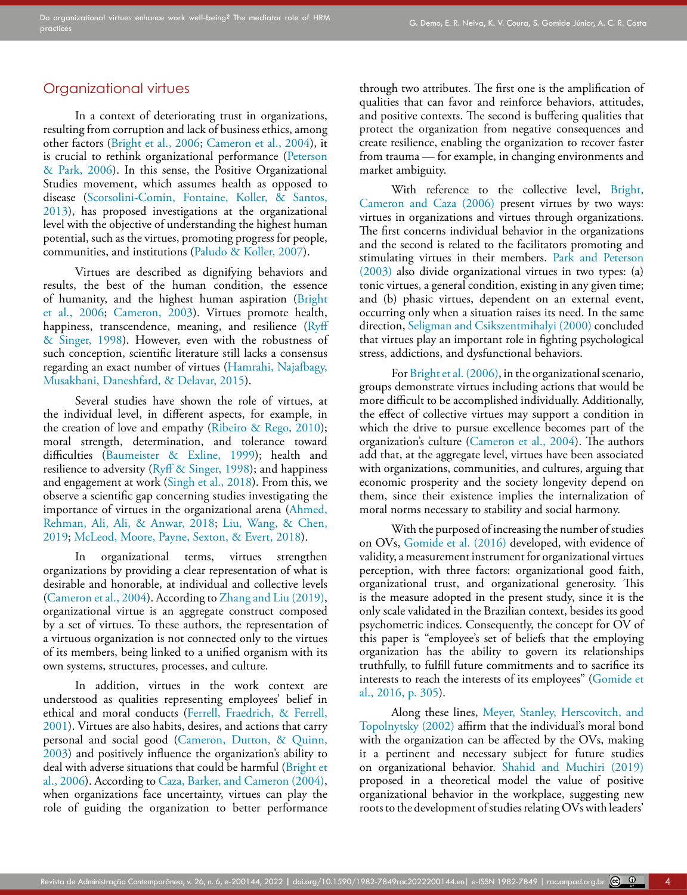### Organizational virtues

In a context of deteriorating trust in organizations, resulting from corruption and lack of business ethics, among other factors [\(Bright et al., 2006](#page-11-1); [Cameron et al., 2004\)](#page-11-2), it is crucial to rethink organizational performance ([Peterson](#page-13-12)  [& Park, 2006\)](#page-13-12). In this sense, the Positive Organizational Studies movement, which assumes health as opposed to disease [\(Scorsolini-Comin, Fontaine, Koller, & Santos,](#page-14-6)  [2013](#page-14-6)), has proposed investigations at the organizational level with the objective of understanding the highest human potential, such as the virtues, promoting progress for people, communities, and institutions [\(Paludo & Koller, 2007\)](#page-13-8).

Virtues are described as dignifying behaviors and results, the best of the human condition, the essence of humanity, and the highest human aspiration ([Bright](#page-11-1)  [et al., 2006](#page-11-1); [Cameron, 2003](#page-11-8)). Virtues promote health, happiness, transcendence, meaning, and resilience (Ryff [& Singer, 1998](#page-14-0)). However, even with the robustness of such conception, scientific literature still lacks a consensus regarding an exact number of virtues ([Hamrahi, Najafbagy,](#page-12-10)  [Musakhani, Daneshfard, & Delavar, 2015\)](#page-12-10).

Several studies have shown the role of virtues, at the individual level, in different aspects, for example, in the creation of love and empathy [\(Ribeiro & Rego, 2010](#page-14-7)); moral strength, determination, and tolerance toward difficulties ([Baumeister & Exline, 1999](#page-11-9)); health and resilience to adversity [\(Ryff & Singer, 1998](#page-14-0)); and happiness and engagement at work ([Singh et al., 2018](#page-14-1)). From this, we observe a scientific gap concerning studies investigating the importance of virtues in the organizational arena ([Ahmed,](#page-11-10)  [Rehman, Ali, Ali, & Anwar, 2018](#page-11-10); [Liu, Wang, & Chen,](#page-12-11)  [2019](#page-12-11); [McLeod, Moore, Payne, Sexton, & Evert, 2018](#page-13-13)).

In organizational terms, virtues strengthen organizations by providing a clear representation of what is desirable and honorable, at individual and collective levels ([Cameron et al., 2004](#page-11-2)). According to Zhang and Liu (2019), organizational virtue is an aggregate construct composed by a set of virtues. To these authors, the representation of a virtuous organization is not connected only to the virtues of its members, being linked to a unified organism with its own systems, structures, processes, and culture.

In addition, virtues in the work context are understood as qualities representing employees' belief in ethical and moral conducts [\(Ferrell, Fraedrich, & Ferrell,](#page-12-12)  [2001](#page-12-12)). Virtues are also habits, desires, and actions that carry personal and social good ([Cameron, Dutton, & Quinn,](#page-11-11)  [2003](#page-11-11)) and positively influence the organization's ability to deal with adverse situations that could be harmful [\(Bright et](#page-11-1)  [al., 2006](#page-11-1)). According to [Caza, Barker, and Cameron \(2004\),](#page-11-12) when organizations face uncertainty, virtues can play the role of guiding the organization to better performance through two attributes. The first one is the amplification of qualities that can favor and reinforce behaviors, attitudes, and positive contexts. The second is buffering qualities that protect the organization from negative consequences and create resilience, enabling the organization to recover faster from trauma — for example, in changing environments and market ambiguity.

With reference to the collective level, [Bright,](#page-11-1) [Cameron and Caza \(2006\)](#page-11-1) present virtues by two ways: virtues in organizations and virtues through organizations. The first concerns individual behavior in the organizations and the second is related to the facilitators promoting and stimulating virtues in their members. [Park and Peterson](#page-13-14) [\(2003\)](#page-13-14) also divide organizational virtues in two types: (a) tonic virtues, a general condition, existing in any given time; and (b) phasic virtues, dependent on an external event, occurring only when a situation raises its need. In the same direction, [Seligman and Csikszentmihalyi \(2000\)](#page-14-8) concluded that virtues play an important role in fighting psychological stress, addictions, and dysfunctional behaviors.

For [Bright et al. \(2006\)](#page-11-1), in the organizational scenario, groups demonstrate virtues including actions that would be more difficult to be accomplished individually. Additionally, the effect of collective virtues may support a condition in which the drive to pursue excellence becomes part of the organization's culture ([Cameron et al., 2004\)](#page-11-2). The authors add that, at the aggregate level, virtues have been associated with organizations, communities, and cultures, arguing that economic prosperity and the society longevity depend on them, since their existence implies the internalization of moral norms necessary to stability and social harmony.

With the purposed of increasing the number of studies on OVs, [Gomide et al. \(2016\)](#page-12-2) developed, with evidence of validity, a measurement instrument for organizational virtues perception, with three factors: organizational good faith, organizational trust, and organizational generosity. This is the measure adopted in the present study, since it is the only scale validated in the Brazilian context, besides its good psychometric indices. Consequently, the concept for OV of this paper is "employee's set of beliefs that the employing organization has the ability to govern its relationships truthfully, to fulfill future commitments and to sacrifice its interests to reach the interests of its employees" ([Gomide et](#page-12-2) [al., 2016, p. 305](#page-12-2)).

Along these lines, [Meyer, Stanley, Herscovitch, and](#page-13-15) [Topolnytsky \(2002\)](#page-13-15) affirm that the individual's moral bond with the organization can be affected by the OVs, making it a pertinent and necessary subject for future studies on organizational behavior. [Shahid and Muchiri \(2019\)](#page-14-9) proposed in a theoretical model the value of positive organizational behavior in the workplace, suggesting new roots to the development of studies relating OVs with leaders'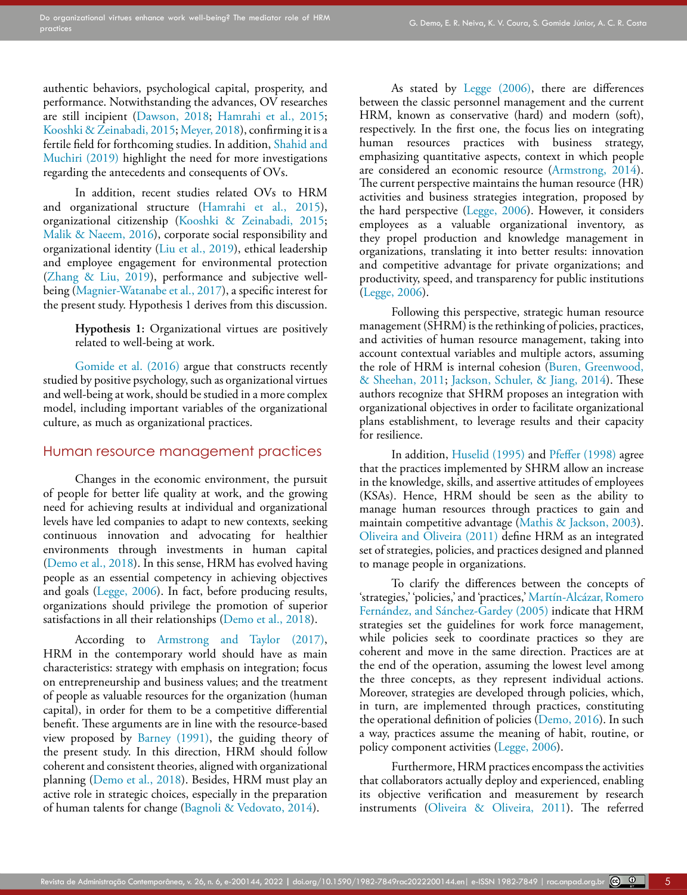authentic behaviors, psychological capital, prosperity, and performance. Notwithstanding the advances, OV researches are still incipient [\(Dawson, 2018](#page-11-13); [Hamrahi et al., 2015;](#page-12-10) [Kooshki & Zeinabadi, 2015;](#page-12-13) [Meyer, 2018\)](#page-13-16), confirming it is a fertile field for forthcoming studies. In addition, [Shahid and](#page-14-9)  [Muchiri \(2019\)](#page-14-9) highlight the need for more investigations regarding the antecedents and consequents of OVs.

In addition, recent studies related OVs to HRM and organizational structure [\(Hamrahi et al., 2015](#page-12-10)), organizational citizenship ([Kooshki & Zeinabadi, 2015;](#page-12-13) [Malik & Naeem, 2016](#page-13-17)), corporate social responsibility and organizational identity [\(Liu et al., 2019](#page-12-11)), ethical leadership and employee engagement for environmental protection (Zhang & Liu, 2019), performance and subjective wellbeing [\(Magnier-Watanabe et al., 2017\)](#page-13-11), a specific interest for the present study. Hypothesis 1 derives from this discussion.

> **Hypothesis 1:** Organizational virtues are positively related to well-being at work.

[Gomide et al. \(2016\)](#page-12-2) argue that constructs recently studied by positive psychology, such as organizational virtues and well-being at work, should be studied in a more complex model, including important variables of the organizational culture, as much as organizational practices.

#### Human resource management practices

Changes in the economic environment, the pursuit of people for better life quality at work, and the growing need for achieving results at individual and organizational levels have led companies to adapt to new contexts, seeking continuous innovation and advocating for healthier environments through investments in human capital ([Demo et al., 2018](#page-12-14)). In this sense, HRM has evolved having people as an essential competency in achieving objectives and goals ([Legge, 2006\)](#page-12-5). In fact, before producing results, organizations should privilege the promotion of superior satisfactions in all their relationships [\(Demo et al., 2018\)](#page-12-14).

According to [Armstrong and Taylor \(2017\),](#page-11-3) HRM in the contemporary world should have as main characteristics: strategy with emphasis on integration; focus on entrepreneurship and business values; and the treatment of people as valuable resources for the organization (human capital), in order for them to be a competitive differential benefit. These arguments are in line with the resource-based view proposed by [Barney \(1991\),](#page-11-14) the guiding theory of the present study. In this direction, HRM should follow coherent and consistent theories, aligned with organizational planning ([Demo et al., 2018\)](#page-12-14). Besides, HRM must play an active role in strategic choices, especially in the preparation of human talents for change ([Bagnoli & Vedovato, 2014](#page-11-15)).

As stated by [Legge \(2006\)](#page-12-5), there are differences between the classic personnel management and the current HRM, known as conservative (hard) and modern (soft), respectively. In the first one, the focus lies on integrating human resources practices with business strategy, emphasizing quantitative aspects, context in which people are considered an economic resource ([Armstrong, 2014\)](#page-11-16). The current perspective maintains the human resource (HR) activities and business strategies integration, proposed by the hard perspective ([Legge, 2006](#page-12-5)). However, it considers employees as a valuable organizational inventory, as they propel production and knowledge management in organizations, translating it into better results: innovation and competitive advantage for private organizations; and productivity, speed, and transparency for public institutions [\(Legge, 2006\)](#page-12-5).

Following this perspective, strategic human resource management (SHRM) is the rethinking of policies, practices, and activities of human resource management, taking into account contextual variables and multiple actors, assuming the role of HRM is internal cohesion ([Buren, Greenwood,](#page-11-17) [& Sheehan, 2011;](#page-11-17) [Jackson, Schuler, & Jiang, 2014\)](#page-12-15). These authors recognize that SHRM proposes an integration with organizational objectives in order to facilitate organizational plans establishment, to leverage results and their capacity for resilience.

In addition, [Huselid \(1995\)](#page-12-16) and [Pfeffer \(1998\)](#page-13-18) agree that the practices implemented by SHRM allow an increase in the knowledge, skills, and assertive attitudes of employees (KSAs). Hence, HRM should be seen as the ability to manage human resources through practices to gain and maintain competitive advantage ([Mathis & Jackson, 2003\)](#page-13-19). [Oliveira and Oliveira \(2011\)](#page-13-20) define HRM as an integrated set of strategies, policies, and practices designed and planned to manage people in organizations.

To clarify the differences between the concepts of 'strategies,' 'policies,' and 'practices,' Martín-Alcázar, Romero Fernández, and Sánchez-Gardey (2005) indicate that HRM strategies set the guidelines for work force management, while policies seek to coordinate practices so they are coherent and move in the same direction. Practices are at the end of the operation, assuming the lowest level among the three concepts, as they represent individual actions. Moreover, strategies are developed through policies, which, in turn, are implemented through practices, constituting the operational definition of policies [\(Demo, 2016](#page-12-17)). In such a way, practices assume the meaning of habit, routine, or policy component activities ([Legge, 2006\)](#page-12-5).

Furthermore, HRM practices encompass the activities that collaborators actually deploy and experienced, enabling its objective verification and measurement by research instruments ([Oliveira & Oliveira, 2011\)](#page-13-20). The referred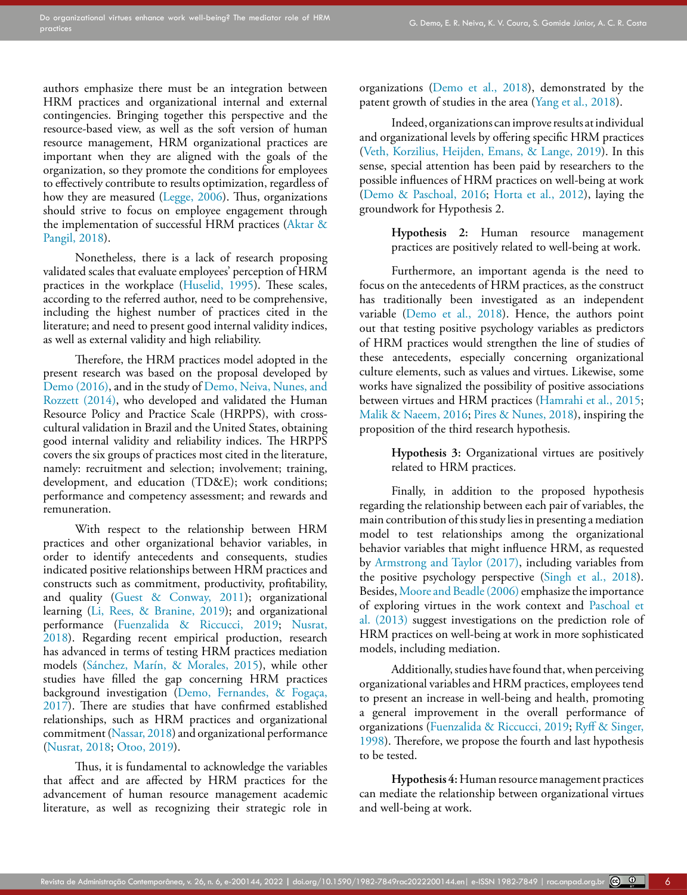authors emphasize there must be an integration between HRM practices and organizational internal and external contingencies. Bringing together this perspective and the resource-based view, as well as the soft version of human resource management, HRM organizational practices are important when they are aligned with the goals of the organization, so they promote the conditions for employees to effectively contribute to results optimization, regardless of how they are measured [\(Legge, 2006](#page-12-5)). Thus, organizations should strive to focus on employee engagement through the implementation of successful HRM practices ([Aktar &](#page-11-18)  [Pangil, 2018](#page-11-18)).

Nonetheless, there is a lack of research proposing validated scales that evaluate employees' perception of HRM practices in the workplace [\(Huselid, 1995](#page-12-16)). These scales, according to the referred author, need to be comprehensive, including the highest number of practices cited in the literature; and need to present good internal validity indices, as well as external validity and high reliability.

Therefore, the HRM practices model adopted in the present research was based on the proposal developed by [Demo \(2016\)](#page-12-17), and in the study of [Demo, Neiva, Nunes, and](#page-12-18)  [Rozzett \(2014\),](#page-12-18) who developed and validated the Human Resource Policy and Practice Scale (HRPPS), with crosscultural validation in Brazil and the United States, obtaining good internal validity and reliability indices. The HRPPS covers the six groups of practices most cited in the literature, namely: recruitment and selection; involvement; training, development, and education (TD&E); work conditions; performance and competency assessment; and rewards and remuneration.

With respect to the relationship between HRM practices and other organizational behavior variables, in order to identify antecedents and consequents, studies indicated positive relationships between HRM practices and constructs such as commitment, productivity, profitability, and quality ([Guest & Conway, 2011\)](#page-12-4); organizational learning ([Li, Rees, & Branine, 2019](#page-12-19)); and organizational performance [\(Fuenzalida & Riccucci, 2019;](#page-12-20) [Nusrat,](#page-13-4)  [2018](#page-13-4)). Regarding recent empirical production, research has advanced in terms of testing HRM practices mediation models (Sánchez, Marín, & Morales, 2015), while other studies have filled the gap concerning HRM practices background investigation (Demo, Fernandes, & Fogaça, 2017). There are studies that have confirmed established relationships, such as HRM practices and organizational commitment ([Nassar, 2018\)](#page-13-21) and organizational performance ([Nusrat, 2018](#page-13-4); [Otoo, 2019\)](#page-13-22).

Thus, it is fundamental to acknowledge the variables that affect and are affected by HRM practices for the advancement of human resource management academic literature, as well as recognizing their strategic role in organizations ([Demo et al., 2018](#page-12-14)), demonstrated by the patent growth of studies in the area (Yang et al., 2018).

Indeed, organizations can improve results at individual and organizational levels by offering specific HRM practices (Veth, Korzilius, Heijden, Emans, & Lange, 2019). In this sense, special attention has been paid by researchers to the possible influences of HRM practices on well-being at work [\(Demo & Paschoal, 2016](#page-12-7); [Horta et al., 2012](#page-12-1)), laying the groundwork for Hypothesis 2.

> **Hypothesis 2:** Human resource management practices are positively related to well-being at work.

Furthermore, an important agenda is the need to focus on the antecedents of HRM practices, as the construct has traditionally been investigated as an independent variable [\(Demo et al., 2018](#page-12-14)). Hence, the authors point out that testing positive psychology variables as predictors of HRM practices would strengthen the line of studies of these antecedents, especially concerning organizational culture elements, such as values and virtues. Likewise, some works have signalized the possibility of positive associations between virtues and HRM practices ([Hamrahi et al., 2015](#page-12-10); [Malik & Naeem, 2016](#page-13-17); [Pires & Nunes, 2018](#page-13-5)), inspiring the proposition of the third research hypothesis.

> **Hypothesis 3:** Organizational virtues are positively related to HRM practices.

Finally, in addition to the proposed hypothesis regarding the relationship between each pair of variables, the main contribution of this study lies in presenting a mediation model to test relationships among the organizational behavior variables that might influence HRM, as requested by [Armstrong and Taylor \(2017\)](#page-11-3), including variables from the positive psychology perspective ([Singh et al., 2018\)](#page-14-1). Besides, [Moore and Beadle \(2006\)](#page-13-3) emphasize the importance of exploring virtues in the work context and [Paschoal et](#page-13-6) [al. \(2013\)](#page-13-6) suggest investigations on the prediction role of HRM practices on well-being at work in more sophisticated models, including mediation.

Additionally, studies have found that, when perceiving organizational variables and HRM practices, employees tend to present an increase in well-being and health, promoting a general improvement in the overall performance of organizations ([Fuenzalida & Riccucci, 2019;](#page-12-20) [Ryff & Singer,](#page-14-0) [1998\)](#page-14-0). Therefore, we propose the fourth and last hypothesis to be tested.

**Hypothesis 4:** Human resource management practices can mediate the relationship between organizational virtues and well-being at work.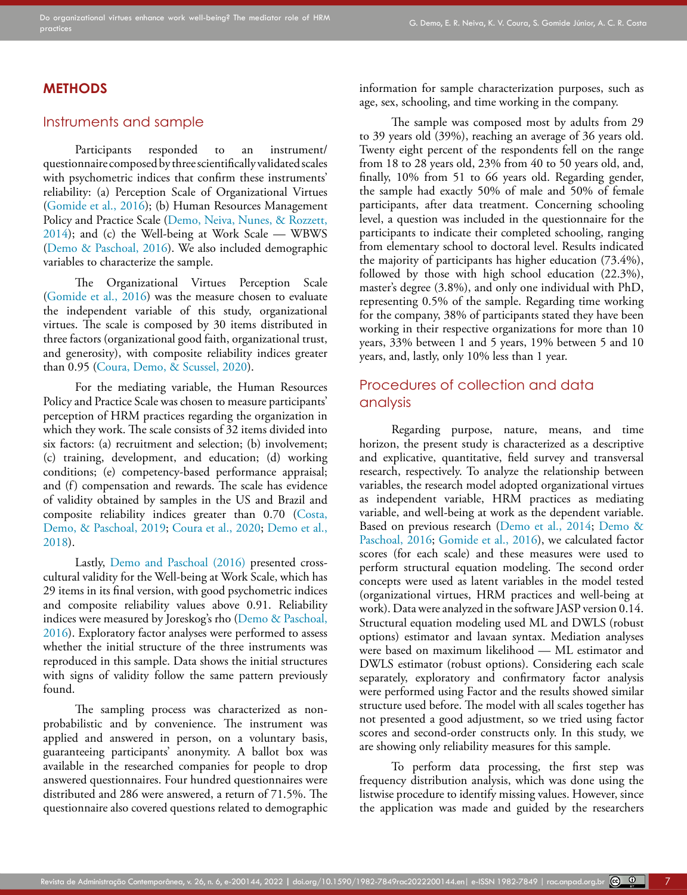#### **METHODS**

#### Instruments and sample

Participants responded to an instrument/ questionnaire composed by three scientifically validated scales with psychometric indices that confirm these instruments' reliability: (a) Perception Scale of Organizational Virtues ([Gomide et al., 2016](#page-12-2)); (b) Human Resources Management Policy and Practice Scale ([Demo, Neiva, Nunes, & Rozzett,](#page-12-18)  [2014](#page-12-18)); and (c) the Well-being at Work Scale — WBWS ([Demo & Paschoal, 2016\)](#page-12-7). We also included demographic variables to characterize the sample.

The Organizational Virtues Perception Scale ([Gomide et al., 2016](#page-12-2)) was the measure chosen to evaluate the independent variable of this study, organizational virtues. The scale is composed by 30 items distributed in three factors (organizational good faith, organizational trust, and generosity), with composite reliability indices greater than 0.95 ([Coura, Demo, & Scussel, 2020](#page-11-19)).

For the mediating variable, the Human Resources Policy and Practice Scale was chosen to measure participants' perception of HRM practices regarding the organization in which they work. The scale consists of 32 items divided into six factors: (a) recruitment and selection; (b) involvement; (c) training, development, and education; (d) working conditions; (e) competency-based performance appraisal; and (f) compensation and rewards. The scale has evidence of validity obtained by samples in the US and Brazil and composite reliability indices greater than 0.70 [\(Costa,](#page-11-20)  [Demo, & Paschoal, 2019](#page-11-20); [Coura et al., 2020](#page-11-19); [Demo et al.,](#page-12-14)  [2018](#page-12-14)).

Lastly, [Demo and Paschoal \(2016\)](#page-12-7) presented crosscultural validity for the Well-being at Work Scale, which has 29 items in its final version, with good psychometric indices and composite reliability values above 0.91. Reliability indices were measured by Joreskog's rho ([Demo & Paschoal,](#page-12-7)  [2016](#page-12-7)). Exploratory factor analyses were performed to assess whether the initial structure of the three instruments was reproduced in this sample. Data shows the initial structures with signs of validity follow the same pattern previously found.

The sampling process was characterized as nonprobabilistic and by convenience. The instrument was applied and answered in person, on a voluntary basis, guaranteeing participants' anonymity. A ballot box was available in the researched companies for people to drop answered questionnaires. Four hundred questionnaires were distributed and 286 were answered, a return of 71.5%. The questionnaire also covered questions related to demographic information for sample characterization purposes, such as age, sex, schooling, and time working in the company.

The sample was composed most by adults from 29 to 39 years old (39%), reaching an average of 36 years old. Twenty eight percent of the respondents fell on the range from 18 to 28 years old, 23% from 40 to 50 years old, and, finally, 10% from 51 to 66 years old. Regarding gender, the sample had exactly 50% of male and 50% of female participants, after data treatment. Concerning schooling level, a question was included in the questionnaire for the participants to indicate their completed schooling, ranging from elementary school to doctoral level. Results indicated the majority of participants has higher education (73.4%), followed by those with high school education (22.3%), master's degree (3.8%), and only one individual with PhD, representing 0.5% of the sample. Regarding time working for the company, 38% of participants stated they have been working in their respective organizations for more than 10 years, 33% between 1 and 5 years, 19% between 5 and 10 years, and, lastly, only 10% less than 1 year.

## Procedures of collection and data analysis

Regarding purpose, nature, means, and time horizon, the present study is characterized as a descriptive and explicative, quantitative, field survey and transversal research, respectively. To analyze the relationship between variables, the research model adopted organizational virtues as independent variable, HRM practices as mediating variable, and well-being at work as the dependent variable. Based on previous research [\(Demo et al., 2014;](#page-12-18) [Demo &](#page-12-7) [Paschoal, 2016](#page-12-7); [Gomide et al., 2016\)](#page-12-2), we calculated factor scores (for each scale) and these measures were used to perform structural equation modeling. The second order concepts were used as latent variables in the model tested (organizational virtues, HRM practices and well-being at work). Data were analyzed in the software JASP version 0.14. Structural equation modeling used ML and DWLS (robust options) estimator and lavaan syntax. Mediation analyses were based on maximum likelihood — ML estimator and DWLS estimator (robust options). Considering each scale separately, exploratory and confirmatory factor analysis were performed using Factor and the results showed similar structure used before. The model with all scales together has not presented a good adjustment, so we tried using factor scores and second-order constructs only. In this study, we are showing only reliability measures for this sample.

To perform data processing, the first step was frequency distribution analysis, which was done using the listwise procedure to identify missing values. However, since the application was made and guided by the researchers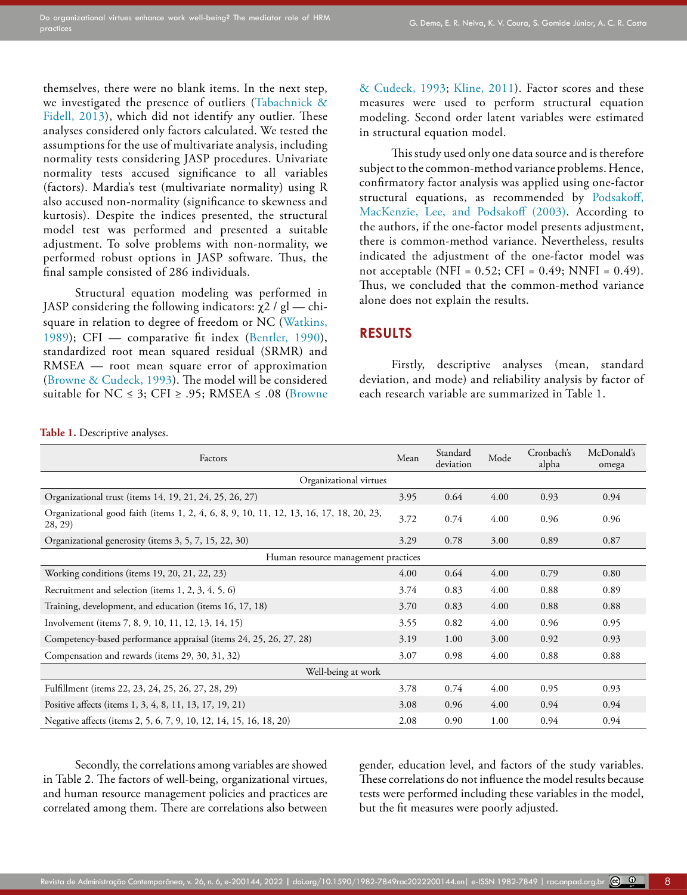themselves, there were no blank items. In the next step, we investigated the presence of outliers (Tabachnick & Fidell, 2013), which did not identify any outlier. These analyses considered only factors calculated. We tested the assumptions for the use of multivariate analysis, including normality tests considering JASP procedures. Univariate normality tests accused significance to all variables (factors). Mardia's test (multivariate normality) using R also accused non-normality (significance to skewness and kurtosis). Despite the indices presented, the structural model test was performed and presented a suitable adjustment. To solve problems with non-normality, we performed robust options in JASP software. Thus, the final sample consisted of 286 individuals.

Structural equation modeling was performed in JASP considering the following indicators:  $\chi$ 2 / gl — chisquare in relation to degree of freedom or NC (Watkins, 1989); CFI — comparative fit index ([Bentler, 1990](#page-11-21)), standardized root mean squared residual (SRMR) and RMSEA — root mean square error of approximation ([Browne & Cudeck, 1993\)](#page-11-22). The model will be considered suitable for  $NC \leq 3$ ; CFI  $\geq .95$ ; RMSEA  $\leq .08$  (Browne [& Cudeck, 1993;](#page-11-22) [Kline, 2011](#page-12-21)). Factor scores and these measures were used to perform structural equation modeling. Second order latent variables were estimated in structural equation model.

This study used only one data source and is therefore subject to the common-method variance problems. Hence, confirmatory factor analysis was applied using one-factor structural equations, as recommended by [Podsakoff,](#page-13-23) [MacKenzie, Lee, and Podsakoff \(2003\)](#page-13-23). According to the authors, if the one-factor model presents adjustment, there is common-method variance. Nevertheless, results indicated the adjustment of the one-factor model was not acceptable (NFI =  $0.52$ ; CFI =  $0.49$ ; NNFI =  $0.49$ ). Thus, we concluded that the common-method variance alone does not explain the results.

#### **RESULTS**

Firstly, descriptive analyses (mean, standard deviation, and mode) and reliability analysis by factor of each research variable are summarized in Table 1.

**Table 1.** Descriptive analyses.

| Factors                                                                                           | Mean | Standard<br>deviation | Mode | Cronbach's<br>alpha | McDonald's<br>omega |  |  |  |  |
|---------------------------------------------------------------------------------------------------|------|-----------------------|------|---------------------|---------------------|--|--|--|--|
| Organizational virtues                                                                            |      |                       |      |                     |                     |  |  |  |  |
| Organizational trust (items 14, 19, 21, 24, 25, 26, 27)                                           | 3.95 | 0.64                  | 0.94 |                     |                     |  |  |  |  |
| Organizational good faith (items 1, 2, 4, 6, 8, 9, 10, 11, 12, 13, 16, 17, 18, 20, 23,<br>28, 29) | 3.72 | 0.74                  | 4.00 | 0.96                | 0.96                |  |  |  |  |
| Organizational generosity (items 3, 5, 7, 15, 22, 30)                                             | 3.29 | 0.78<br>3.00<br>0.89  |      |                     |                     |  |  |  |  |
| Human resource management practices                                                               |      |                       |      |                     |                     |  |  |  |  |
| Working conditions (items 19, 20, 21, 22, 23)                                                     | 4.00 | 0.64                  | 4.00 | 0.79                | 0.80                |  |  |  |  |
| Recruitment and selection (items 1, 2, 3, 4, 5, 6)                                                | 3.74 | 0.83                  | 4.00 | 0.88                | 0.89                |  |  |  |  |
| Training, development, and education (items 16, 17, 18)                                           | 3.70 | 0.83                  | 4.00 | 0.88                | 0.88                |  |  |  |  |
| Involvement (items 7, 8, 9, 10, 11, 12, 13, 14, 15)                                               | 3.55 | 0.82                  | 4.00 | 0.96                | 0.95                |  |  |  |  |
| Competency-based performance appraisal (items 24, 25, 26, 27, 28)                                 | 3.19 | 1.00                  | 3.00 | 0.92                | 0.93                |  |  |  |  |
| Compensation and rewards (items 29, 30, 31, 32)                                                   | 3.07 | 0.98                  | 4.00 | 0.88                | 0.88                |  |  |  |  |
| Well-being at work                                                                                |      |                       |      |                     |                     |  |  |  |  |
| Fulfillment (items 22, 23, 24, 25, 26, 27, 28, 29)                                                | 3.78 | 0.74                  | 4.00 | 0.95                | 0.93                |  |  |  |  |
| Positive affects (items 1, 3, 4, 8, 11, 13, 17, 19, 21)                                           | 3.08 | 0.96                  | 4.00 | 0.94                | 0.94                |  |  |  |  |
| Negative affects (items 2, 5, 6, 7, 9, 10, 12, 14, 15, 16, 18, 20)                                | 2.08 | 0.90                  | 1.00 | 0.94                | 0.94                |  |  |  |  |

Secondly, the correlations among variables are showed in Table 2. The factors of well-being, organizational virtues, and human resource management policies and practices are correlated among them. There are correlations also between

gender, education level, and factors of the study variables. These correlations do not influence the model results because tests were performed including these variables in the model, but the fit measures were poorly adjusted.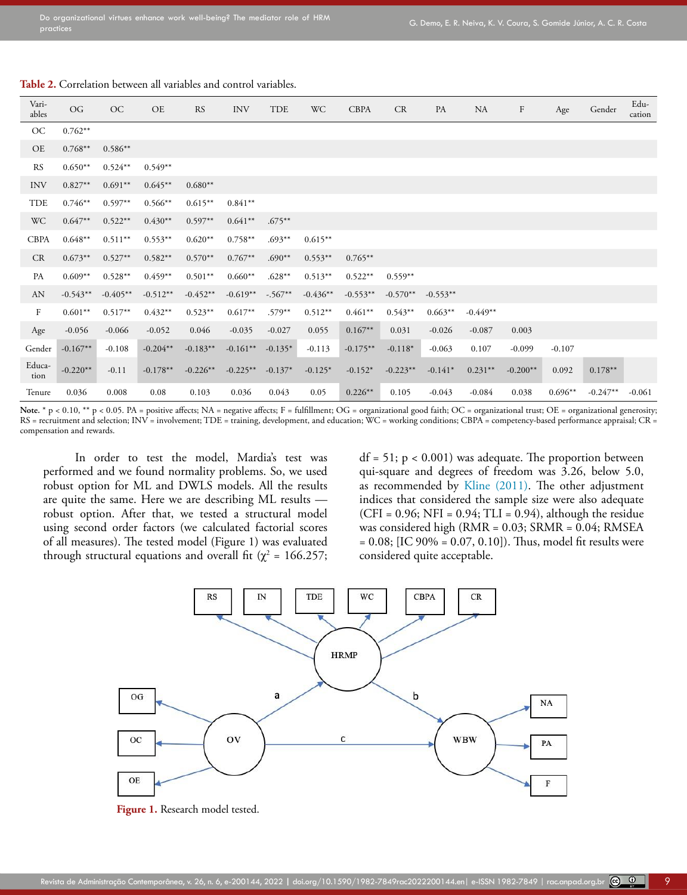| Vari-<br>ables | OG         | OC         | OE         | <b>RS</b>  | <b>INV</b> | TDE       | WC         | <b>CBPA</b> | CR         | PA         | NA         | $\boldsymbol{F}$ | Age       | Gender     | Edu-<br>cation |
|----------------|------------|------------|------------|------------|------------|-----------|------------|-------------|------------|------------|------------|------------------|-----------|------------|----------------|
| OC             | $0.762**$  |            |            |            |            |           |            |             |            |            |            |                  |           |            |                |
| OE             | $0.768**$  | $0.586**$  |            |            |            |           |            |             |            |            |            |                  |           |            |                |
| <b>RS</b>      | $0.650**$  | $0.524**$  | $0.549**$  |            |            |           |            |             |            |            |            |                  |           |            |                |
| <b>INV</b>     | $0.827**$  | $0.691**$  | $0.645**$  | $0.680**$  |            |           |            |             |            |            |            |                  |           |            |                |
| TDE            | $0.746**$  | $0.597**$  | $0.566**$  | $0.615**$  | $0.841**$  |           |            |             |            |            |            |                  |           |            |                |
| <b>WC</b>      | $0.647**$  | $0.522**$  | $0.430**$  | $0.597**$  | $0.641**$  | $.675***$ |            |             |            |            |            |                  |           |            |                |
| <b>CBPA</b>    | $0.648**$  | $0.511**$  | $0.553**$  | $0.620**$  | $0.758**$  | $.693**$  | $0.615***$ |             |            |            |            |                  |           |            |                |
| CR             | $0.673**$  | $0.527**$  | $0.582**$  | $0.570**$  | $0.767**$  | $.690**$  | $0.553**$  | $0.765***$  |            |            |            |                  |           |            |                |
| PA             | $0.609**$  | $0.528**$  | $0.459**$  | $0.501**$  | $0.660**$  | $.628**$  | $0.513***$ | $0.522**$   | $0.559**$  |            |            |                  |           |            |                |
| AN             | $-0.543**$ | $-0.405**$ | $-0.512**$ | $-0.452**$ | $-0.619**$ | $-.567**$ | $-0.436**$ | $-0.553**$  | $-0.570**$ | $-0.553**$ |            |                  |           |            |                |
| $\mathbf{F}$   | $0.601**$  | $0.517**$  | $0.432**$  | $0.523**$  | $0.617**$  | $.579**$  | $0.512**$  | $0.461**$   | $0.543**$  | $0.663**$  | $-0.449**$ |                  |           |            |                |
| Age            | $-0.056$   | $-0.066$   | $-0.052$   | 0.046      | $-0.035$   | $-0.027$  | 0.055      | $0.167**$   | 0.031      | $-0.026$   | $-0.087$   | 0.003            |           |            |                |
| Gender         | $-0.167**$ | $-0.108$   | $-0.204**$ | $-0.183**$ | $-0.161**$ | $-0.135*$ | $-0.113$   | $-0.175***$ | $-0.118*$  | $-0.063$   | 0.107      | $-0.099$         | $-0.107$  |            |                |
| Educa-<br>tion | $-0.220**$ | $-0.11$    | $-0.178**$ | $-0.226**$ | $-0.225**$ | $-0.137*$ | $-0.125*$  | $-0.152*$   | $-0.223**$ | $-0.141*$  | $0.231**$  | $-0.200**$       | 0.092     | $0.178**$  |                |
| Tenure         | 0.036      | 0.008      | 0.08       | 0.103      | 0.036      | 0.043     | 0.05       | $0.226**$   | 0.105      | $-0.043$   | $-0.084$   | 0.038            | $0.696**$ | $-0.247**$ | $-0.061$       |

#### **Table 2.** Correlation between all variables and control variables.

Note. \* p < 0.10, \*\* p < 0.05. PA = positive affects; NA = negative affects; F = fulfillment; OG = organizational good faith; OC = organizational trust; OE = organizational generosity;  $RS =$  recruitment and selection;  $INV =$  involvement;  $TDE =$  training, development, and education;  $WC =$  working conditions;  $CBPA =$  competency-based performance appraisal;  $CR =$ compensation and rewards.

In order to test the model, Mardia's test was performed and we found normality problems. So, we used robust option for ML and DWLS models. All the results are quite the same. Here we are describing ML results robust option. After that, we tested a structural model using second order factors (we calculated factorial scores of all measures). The tested model (Figure 1) was evaluated through structural equations and overall fit ( $\chi^2$  = 166.257;  $df = 51$ ;  $p < 0.001$ ) was adequate. The proportion between qui-square and degrees of freedom was 3.26, below 5.0, as recommended by [Kline \(2011\)](#page-12-21). The other adjustment indices that considered the sample size were also adequate  $(CFI = 0.96; NFI = 0.94; TLI = 0.94$ ), although the residue was considered high (RMR = 0.03; SRMR = 0.04; RMSEA  $= 0.08$ ; [IC 90%  $= 0.07, 0.10$ ]). Thus, model fit results were considered quite acceptable.

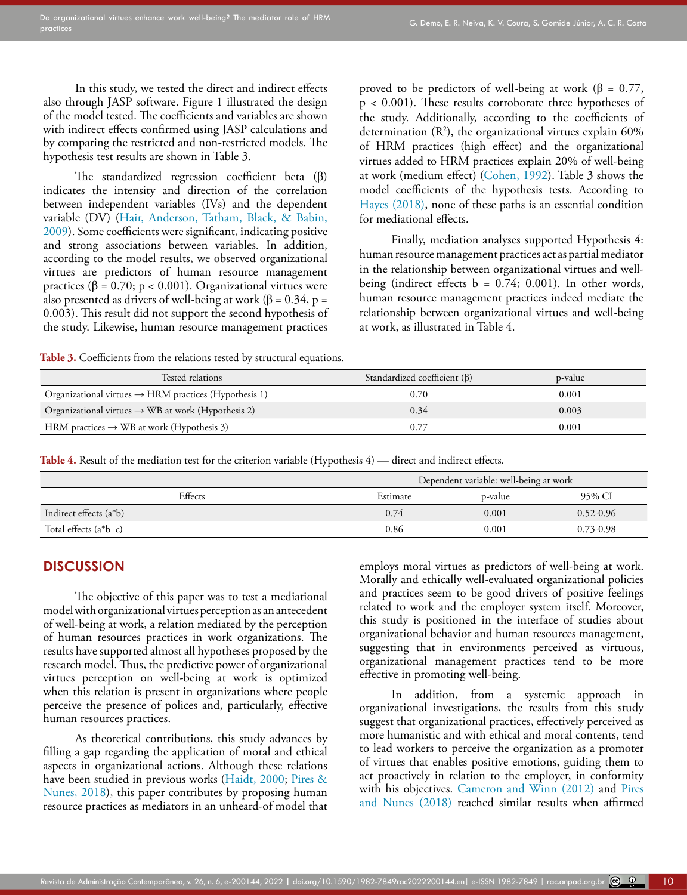In this study, we tested the direct and indirect effects also through JASP software. Figure 1 illustrated the design of the model tested. The coefficients and variables are shown with indirect effects confirmed using JASP calculations and by comparing the restricted and non-restricted models. The hypothesis test results are shown in Table 3.

The standardized regression coefficient beta (β) indicates the intensity and direction of the correlation between independent variables (IVs) and the dependent variable (DV) ([Hair, Anderson, Tatham, Black, & Babin,](#page-12-22)  [2009](#page-12-22)). Some coefficients were significant, indicating positive and strong associations between variables. In addition, according to the model results, we observed organizational virtues are predictors of human resource management practices (β = 0.70; p < 0.001). Organizational virtues were also presented as drivers of well-being at work ( $\beta$  = 0.34, p = 0.003). This result did not support the second hypothesis of the study. Likewise, human resource management practices proved to be predictors of well-being at work (β = 0.77, p < 0.001). These results corroborate three hypotheses of the study. Additionally, according to the coefficients of determination  $(R^2)$ , the organizational virtues explain 60% of HRM practices (high effect) and the organizational virtues added to HRM practices explain 20% of well-being at work (medium effect) [\(Cohen, 1992\)](#page-11-23). Table 3 shows the model coefficients of the hypothesis tests. According to [Hayes \(2018\),](#page-12-23) none of these paths is an essential condition for mediational effects.

Finally, mediation analyses supported Hypothesis 4: human resource management practices act as partial mediator in the relationship between organizational virtues and wellbeing (indirect effects  $b = 0.74$ ; 0.001). In other words, human resource management practices indeed mediate the relationship between organizational virtues and well-being at work, as illustrated in Table 4.

Table 3. Coefficients from the relations tested by structural equations.

| Tested relations                                                  | Standardized coefficient $(\beta)$ | p-value |
|-------------------------------------------------------------------|------------------------------------|---------|
| Organizational virtues $\rightarrow$ HRM practices (Hypothesis 1) | 0.70                               | 0.001   |
| Organizational virtues $\rightarrow$ WB at work (Hypothesis 2)    | 0.34                               | 0.003   |
| HRM practices $\rightarrow$ WB at work (Hypothesis 3)             | 0.77                               | 0.001   |

Table 4. Result of the mediation test for the criterion variable (Hypothesis 4) — direct and indirect effects.

|                           |          | Dependent variable: well-being at work |               |  |  |  |  |
|---------------------------|----------|----------------------------------------|---------------|--|--|--|--|
| Effects                   | Estimate | p-value                                | 95% CI        |  |  |  |  |
| Indirect effects $(a^*b)$ | 0.74     | 0.001                                  | $0.52 - 0.96$ |  |  |  |  |
| Total effects $(a^*b+c)$  | 0.86     | 0.001                                  | $0.73 - 0.98$ |  |  |  |  |

### **DISCUSSION**

The objective of this paper was to test a mediational model with organizational virtues perception as an antecedent of well-being at work, a relation mediated by the perception of human resources practices in work organizations. The results have supported almost all hypotheses proposed by the research model. Thus, the predictive power of organizational virtues perception on well-being at work is optimized when this relation is present in organizations where people perceive the presence of polices and, particularly, effective human resources practices.

As theoretical contributions, this study advances by filling a gap regarding the application of moral and ethical aspects in organizational actions. Although these relations have been studied in previous works ([Haidt, 2000](#page-12-24); [Pires &](#page-13-5)  [Nunes, 2018](#page-13-5)), this paper contributes by proposing human resource practices as mediators in an unheard-of model that employs moral virtues as predictors of well-being at work. Morally and ethically well-evaluated organizational policies and practices seem to be good drivers of positive feelings related to work and the employer system itself. Moreover, this study is positioned in the interface of studies about organizational behavior and human resources management, suggesting that in environments perceived as virtuous, organizational management practices tend to be more effective in promoting well-being.

In addition, from a systemic approach in organizational investigations, the results from this study suggest that organizational practices, effectively perceived as more humanistic and with ethical and moral contents, tend to lead workers to perceive the organization as a promoter of virtues that enables positive emotions, guiding them to act proactively in relation to the employer, in conformity with his objectives. [Cameron and Winn \(2012\)](#page-11-24) and [Pires](#page-13-5) [and Nunes \(2018\)](#page-13-5) reached similar results when affirmed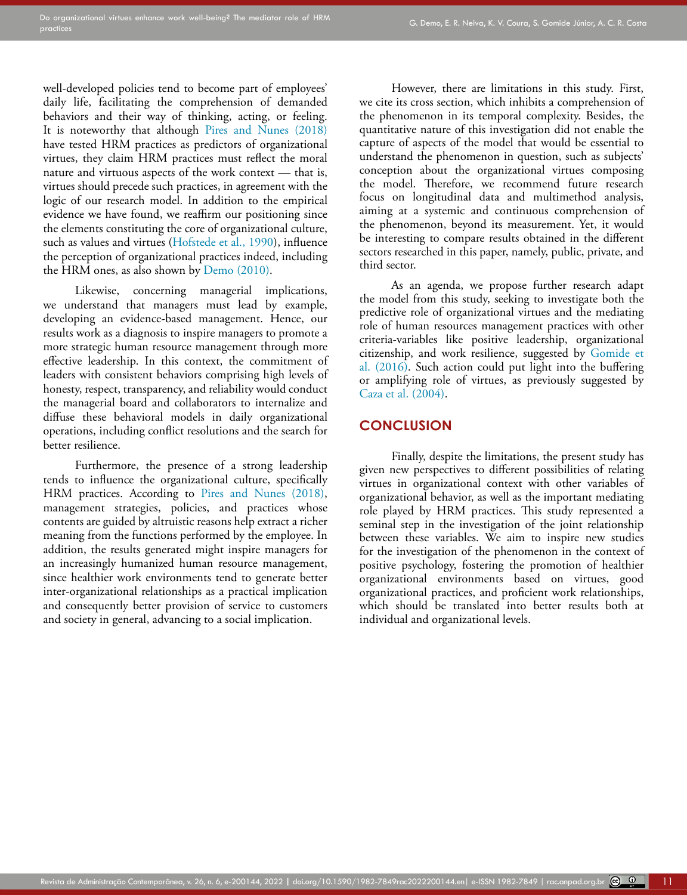well-developed policies tend to become part of employees' daily life, facilitating the comprehension of demanded behaviors and their way of thinking, acting, or feeling. It is noteworthy that although [Pires and Nunes \(2018\)](#page-13-5)  have tested HRM practices as predictors of organizational virtues, they claim HRM practices must reflect the moral nature and virtuous aspects of the work context — that is, virtues should precede such practices, in agreement with the logic of our research model. In addition to the empirical evidence we have found, we reaffirm our positioning since the elements constituting the core of organizational culture, such as values and virtues ([Hofstede et al., 1990\)](#page-12-3), influence the perception of organizational practices indeed, including the HRM ones, as also shown by [Demo \(2010\)](#page-11-25).

Likewise, concerning managerial implications, we understand that managers must lead by example, developing an evidence-based management. Hence, our results work as a diagnosis to inspire managers to promote a more strategic human resource management through more effective leadership. In this context, the commitment of leaders with consistent behaviors comprising high levels of honesty, respect, transparency, and reliability would conduct the managerial board and collaborators to internalize and diffuse these behavioral models in daily organizational operations, including conflict resolutions and the search for better resilience.

Furthermore, the presence of a strong leadership tends to influence the organizational culture, specifically HRM practices. According to [Pires and Nunes \(2018\),](#page-13-5) management strategies, policies, and practices whose contents are guided by altruistic reasons help extract a richer meaning from the functions performed by the employee. In addition, the results generated might inspire managers for an increasingly humanized human resource management, since healthier work environments tend to generate better inter-organizational relationships as a practical implication and consequently better provision of service to customers and society in general, advancing to a social implication.

However, there are limitations in this study. First, we cite its cross section, which inhibits a comprehension of the phenomenon in its temporal complexity. Besides, the quantitative nature of this investigation did not enable the capture of aspects of the model that would be essential to understand the phenomenon in question, such as subjects' conception about the organizational virtues composing the model. Therefore, we recommend future research focus on longitudinal data and multimethod analysis, aiming at a systemic and continuous comprehension of the phenomenon, beyond its measurement. Yet, it would be interesting to compare results obtained in the different sectors researched in this paper, namely, public, private, and third sector.

As an agenda, we propose further research adapt the model from this study, seeking to investigate both the predictive role of organizational virtues and the mediating role of human resources management practices with other criteria-variables like positive leadership, organizational citizenship, and work resilience, suggested by [Gomide et](#page-12-2) [al. \(2016\).](#page-12-2) Such action could put light into the buffering or amplifying role of virtues, as previously suggested by [Caza et al. \(2004\).](#page-11-12)

### **CONCLUSION**

Finally, despite the limitations, the present study has given new perspectives to different possibilities of relating virtues in organizational context with other variables of organizational behavior, as well as the important mediating role played by HRM practices. This study represented a seminal step in the investigation of the joint relationship between these variables. We aim to inspire new studies for the investigation of the phenomenon in the context of positive psychology, fostering the promotion of healthier organizational environments based on virtues, good organizational practices, and proficient work relationships, which should be translated into better results both at individual and organizational levels.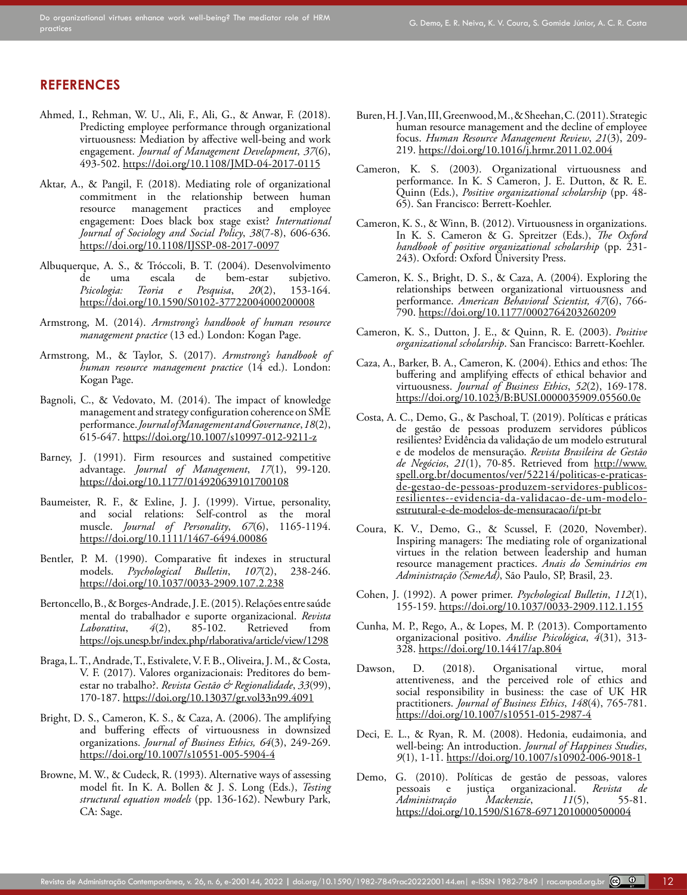#### **REFERENCES**

- <span id="page-11-10"></span>Ahmed, I., Rehman, W. U., Ali, F., Ali, G., & Anwar, F. (2018). Predicting employee performance through organizational virtuousness: Mediation by affective well-being and work engagement. *Journal of Management Development*, *37*(6), 493-502.<https://doi.org/10.1108/JMD-04-2017-0115>
- <span id="page-11-18"></span>Aktar, A., & Pangil, F. (2018). Mediating role of organizational commitment in the relationship between human resource management practices and employee engagement: Does black box stage exist? *International Journal of Sociology and Social Policy*, *38*(7-8), 606-636. <https://doi.org/10.1108/IJSSP-08-2017-0097>
- <span id="page-11-5"></span>Albuquerque, A. S., & Tróccoli, B. T. (2004). Desenvolvimento de uma escala de bem-estar subjetivo.<br>Psicologia: Teoria e Pesquisa, 20(2), 153-164. Psicologia: Teoria e Pesquisa, 20(2), <https://doi.org/10.1590/S0102-37722004000200008>
- <span id="page-11-16"></span>Armstrong, M. (2014). *Armstrong's handbook of human resource management practice* (13 ed.) London: Kogan Page.
- <span id="page-11-3"></span>Armstrong, M., & Taylor, S. (2017). *Armstrong's handbook of human resource management practice* (14 ed.). London: Kogan Page.
- <span id="page-11-15"></span>Bagnoli, C., & Vedovato, M. (2014). The impact of knowledge management and strategy configuration coherence on SME performance. *Journal of Management and Governance*, *18*(2), 615-647.<https://doi.org/10.1007/s10997-012-9211-z>
- <span id="page-11-14"></span>Barney, J. (1991). Firm resources and sustained competitive advantage. *Journal of Management*, *17*(1), 99-120. <https://doi.org/10.1177/014920639101700108>
- <span id="page-11-9"></span>Baumeister, R. F., & Exline, J. J. (1999). Virtue, personality, and social relations: Self-control as the moral muscle. *Journal of Personality*, *67*(6), 1165-1194. <https://doi.org/10.1111/1467-6494.00086>
- <span id="page-11-21"></span>Bentler, P. M. (1990). Comparative fit indexes in structural models. *Psychological Bulletin*, *107*(2), 238-246. [https://doi.org/10.1037/0033-2909.107.2.238](https://doi.org/10.1037/0033-2909.107.2.238 )
- <span id="page-11-6"></span>Bertoncello, B., & Borges-Andrade, J. E. (2015). Relações entre saúde mental do trabalhador e suporte organizacional. *Revista Laborativa*, *4*(2), 85-102. Retrieved from <https://ojs.unesp.br/index.php/rlaborativa/article/view/1298>
- <span id="page-11-7"></span>Braga, L. T., Andrade, T., Estivalete, V. F. B., Oliveira, J. M., & Costa, V. F. (2017). Valores organizacionais: Preditores do bemestar no trabalho?. *Revista Gestão & Regionalidade*, *33*(99), 170-187.<https://doi.org/10.13037/gr.vol33n99.4091>
- <span id="page-11-1"></span>Bright, D. S., Cameron, K. S., & Caza, A. (2006). The amplifying and buffering effects of virtuousness in downsized organizations. *Journal of Business Ethics, 64*(3), 249-269. <https://doi.org/10.1007/s10551-005-5904-4>
- <span id="page-11-22"></span>Browne, M. W., & Cudeck, R. (1993). Alternative ways of assessing model fit. In K. A. Bollen & J. S. Long (Eds.), *Testing structural equation models* (pp. 136-162). Newbury Park, CA: Sage.
- <span id="page-11-17"></span>Buren, H. J. Van, III, Greenwood, M., & Sheehan, C. (2011). Strategic human resource management and the decline of employee focus. *Human Resource Management Review*, *21*(3), 209- 219.<https://doi.org/10.1016/j.hrmr.2011.02.004>
- <span id="page-11-8"></span>Cameron, K. S. (2003). Organizational virtuousness and performance. In K. S Cameron, J. E. Dutton, & R. E. Quinn (Eds.), *Positive organizational scholarship* (pp. 48- 65). San Francisco: Berrett-Koehler.
- <span id="page-11-24"></span>Cameron, K. S., & Winn, B. (2012). Virtuousness in organizations. In K. S. Cameron & G. Spreitzer (Eds.), *The Oxford handbook of positive organizational scholarship* (pp. 231- 243). Oxford: Oxford University Press.
- <span id="page-11-2"></span>Cameron, K. S., Bright, D. S., & Caza, A. (2004). Exploring the relationships between organizational virtuousness and performance. *American Behavioral Scientist, 47*(6), 766- 790. [https://doi.org/10.1177/0002764203260209](https://doi.org/10.1177%2F0002764203260209)
- <span id="page-11-11"></span>Cameron, K. S., Dutton, J. E., & Quinn, R. E. (2003). *Positive organizational scholarship*. San Francisco: Barrett-Koehler.
- <span id="page-11-12"></span>Caza, A., Barker, B. A., Cameron, K. (2004). Ethics and ethos: The buffering and amplifying effects of ethical behavior and virtuousness. *Journal of Business Ethics*, *52*(2), 169-178. <https://doi.org/10.1023/B:BUSI.0000035909.05560.0e>
- <span id="page-11-20"></span>Costa, A. C., Demo, G., & Paschoal, T. (2019). Políticas e práticas de gestão de pessoas produzem servidores públicos resilientes? Evidência da validação de um modelo estrutural e de modelos de mensuração. *Revista Brasileira de Gestão de Negócios*, *21*(1), 70-85. Retrieved from [http://www.](http://www.spell.org.br/documentos/ver/52214/politicas-e-praticas-de-gestao-de-pessoas-produzem-servidores-publicos-resilientes--evidencia-da-validacao-de-um-modelo-estrutural-e-de-modelos-de-mensuracao/i/pt-br) [spell.org.br/documentos/ver/52214/politicas-e-praticas](http://www.spell.org.br/documentos/ver/52214/politicas-e-praticas-de-gestao-de-pessoas-produzem-servidores-publicos-resilientes--evidencia-da-validacao-de-um-modelo-estrutural-e-de-modelos-de-mensuracao/i/pt-br)[de-gestao-de-pessoas-produzem-servidores-publicos](http://www.spell.org.br/documentos/ver/52214/politicas-e-praticas-de-gestao-de-pessoas-produzem-servidores-publicos-resilientes--evidencia-da-validacao-de-um-modelo-estrutural-e-de-modelos-de-mensuracao/i/pt-br)[resilientes--evidencia-da-validacao-de-um-modelo](http://www.spell.org.br/documentos/ver/52214/politicas-e-praticas-de-gestao-de-pessoas-produzem-servidores-publicos-resilientes--evidencia-da-validacao-de-um-modelo-estrutural-e-de-modelos-de-mensuracao/i/pt-br)[estrutural-e-de-modelos-de-mensuracao/i/pt-br](http://www.spell.org.br/documentos/ver/52214/politicas-e-praticas-de-gestao-de-pessoas-produzem-servidores-publicos-resilientes--evidencia-da-validacao-de-um-modelo-estrutural-e-de-modelos-de-mensuracao/i/pt-br)
- <span id="page-11-19"></span>Coura, K. V., Demo, G., & Scussel, F. (2020, November). Inspiring managers: The mediating role of organizational virtues in the relation between leadership and human resource management practices. *Anais do Seminários em Administração (SemeAd)*, São Paulo, SP, Brasil, 23.
- <span id="page-11-23"></span>Cohen, J. (1992). A power primer. *Psychological Bulletin*, *112*(1), 155-159. [https://doi.org/10.1037/0033-2909.112.1.155](https://psycnet.apa.org/doi/10.1037/0033-2909.112.1.155)
- <span id="page-11-0"></span>Cunha, M. P., Rego, A., & Lopes, M. P. (2013). Comportamento organizacional positivo. *Análise Psicológica*, *4*(31), 313- 328.<https://doi.org/10.14417/ap.804>
- <span id="page-11-13"></span>Dawson, D. (2018). Organisational virtue, moral attentiveness, and the perceived role of ethics and social responsibility in business: the case of UK HR practitioners. *Journal of Business Ethics*, *148*(4), 765-781. [https://doi.org/10.1007/s10551-015-2987-4](https://doi.org/10.1007/s10551-015-2987-4 )
- <span id="page-11-4"></span>Deci, E. L., & Ryan, R. M. (2008). Hedonia, eudaimonia, and well-being: An introduction. *Journal of Happiness Studies*, *9*(1), 1-11.<https://doi.org/10.1007/s10902-006-9018-1>
- <span id="page-11-25"></span>Demo, G. (2010). Políticas de gestão de pessoas, valores pessoais e justiça organizacional. *Revista de Administração Mackenzie*, 11(5), <https://doi.org/10.1590/S1678-69712010000500004>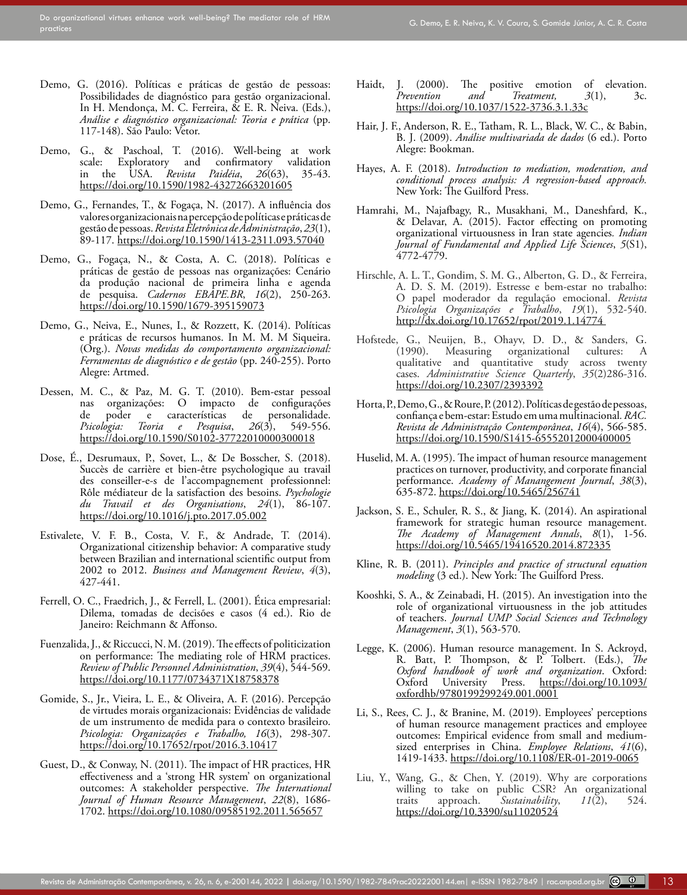- <span id="page-12-17"></span>Demo, G. (2016). Políticas e práticas de gestão de pessoas: Possibilidades de diagnóstico para gestão organizacional. In H. Mendonça, M. C. Ferreira, & E. R. Neiva. (Eds.), *Análise e diagnóstico organizacional: Teoria e prática* (pp. 117-148). São Paulo: Vetor.
- <span id="page-12-7"></span>Demo, G., & Paschoal, T. (2016). Well-being at work scale: Exploratory and confirmatory validation<br>in the USA. *Revista Paidéia*, 26(63), 35-43. in the USA. *Revista Paidéia*,  $26(63)$ , <https://doi.org/10.1590/1982-43272663201605>
- Demo, G., Fernandes, T., & Fogaça, N. (2017). A influência dos valores organizacionais na percepção de políticas e práticas de gestão de pessoas. *Revista Eletrônica de Administração*, *23*(1), 89-117.<https://doi.org/10.1590/1413-2311.093.57040>
- <span id="page-12-14"></span>Demo, G., Fogaça, N., & Costa, A. C. (2018). Políticas e práticas de gestão de pessoas nas organizações: Cenário da produção nacional de primeira linha e [agenda](http://bibliotecadigital.fgv.br/ojs/index.php/cadernosebape/article/view/59073/71569) [de pesquisa.](http://bibliotecadigital.fgv.br/ojs/index.php/cadernosebape/article/view/59073/71569)  *Cadernos EBAPE.BR*, *16*(2), 250-263. <https://doi.org/10.1590/1679-395159073>
- <span id="page-12-18"></span>Demo, G., Neiva, E., Nunes, I., & Rozzett, K. (2014). Políticas e práticas de recursos humanos. In M. M. M Siqueira. (Org.). *Novas medidas do comportamento organizacional: Ferramentas de diagnóstico e de gestão* (pp. 240-255). Porto Alegre: Artmed.
- <span id="page-12-8"></span>Dessen, M. C., & Paz, M. G. T. (2010). Bem-estar pessoal nas organizações: O impacto de configurações de poder e características de personalidade. de poder e características de personalidade.<br>Psicologia: Teoria e Pesquisa, 26(3), 549-556. *Psicologia: Teoria e Pesquisa*, *26*(3), 549-556. [https://doi.org/10.1590/S0102-37722010000300018](https://psycnet.apa.org/doi/10.1590/S0102-37722010000300018)
- <span id="page-12-9"></span>Dose, É., Desrumaux, P., Sovet, L., & De Bosscher, S. (2018). Succès de carrière et bien-être psychologique au travail des conseiller-e-s de l'accompagnement professionnel: Rôle médiateur de la satisfaction des besoins. *Psychologie du Travail et des Organisations*, *24*(1), 86-107. <https://doi.org/10.1016/j.pto.2017.05.002>
- <span id="page-12-0"></span>Estivalete, V. F. B., Costa, V. F., & Andrade, T. (2014). Organizational citizenship behavior: A comparative study between Brazilian and international scientific output from 2002 to 2012. *Business and Management Review*, *4*(3), 427-441.
- <span id="page-12-12"></span>Ferrell, O. C., Fraedrich, J., & Ferrell, L. (2001). Ética empresarial: Dilema, tomadas de decisões e casos (4 ed.). Rio de Janeiro: Reichmann & Affonso.
- <span id="page-12-20"></span>Fuenzalida, J., & Riccucci, N. M. (2019). The effects of politicization on performance: The mediating role of HRM practices. *Review of Public Personnel Administration*, *39*(4), 544-569. [https://doi.org/10.1177/0734371X18758378](https://doi.org/10.1177%2F0734371X18758378)
- <span id="page-12-2"></span>Gomide, S., Jr., Vieira, L. E., & Oliveira, A. F. (2016). Percepção de virtudes morais organizacionais: Evidências de validade de um instrumento de medida para o contexto brasileiro. *Psicologia: Organizações e Trabalho, 16*(3), 298-307. <https://doi.org/10.17652/rpot/2016.3.10417>
- <span id="page-12-4"></span>Guest, D., & Conway, N. (2011). The impact of HR practices, HR effectiveness and a 'strong HR system' on organizational outcomes: A stakeholder perspective. *The International Journal of Human Resource Management*, *22*(8), 1686- 1702. <https://doi.org/10.1080/09585192.2011.565657>
- <span id="page-12-24"></span>Haidt, J. (2000). The positive emotion of elevation.<br>*Prevention and Treatment*, 3(1), 3c. *Freatment, 3*(1), *3c.*<br>522-3736.3.1.33c https://doi.org/10.1037/1522-3736.3.1
- <span id="page-12-22"></span>Hair, J. F., Anderson, R. E., Tatham, R. L., Black, W. C., & Babin, B. J. (2009). *Análise multivariada de dados* (6 ed.). Porto Alegre: Bookman.
- <span id="page-12-23"></span>Hayes, A. F. (2018). *Introduction to mediation, moderation, and conditional process analysis: A regression-based approach.* New York: The Guilford Press.
- <span id="page-12-10"></span>Hamrahi, M., Najafbagy, R., Musakhani, M., Daneshfard, K., & Delavar, A. (2015). Factor effecting on promoting organizational virtuousness in Iran state agencies*. Indian Journal of Fundamental and Applied Life Sciences*, *5*(S1), 4772-4779.
- <span id="page-12-6"></span>Hirschle, A. L. T., Gondim, S. M. G., Alberton, G. D., & Ferreira, A. D. S. M. (2019). Estresse e bem-estar no trabalho: O papel moderador da regulação emocional. *Revista Psicologia Organizações e Trabalho*, *19*(1), 532-540. [http://dx.doi.org/10.17652/rpot/2019.1.14774](http://dx.doi.org/10.17652/rpot/2019.1.14774 )
- <span id="page-12-3"></span>Hofstede, G., Neuijen, B., Ohayv, D. D., & Sanders, G. organizational cultures: A qualitative and quantitative study across twenty cases. *Administrative Science Quarterly*, *35*(2)286-316. [https://doi.org/10.2307/2393392](https://psycnet.apa.org/doi/10.2307/2393392)
- <span id="page-12-1"></span>Horta, P., Demo, G., & Roure, P. (2012). Políticas de gestão de pessoas, confiança e bem-estar: Estudo em uma multinacional*. RAC. Revista de Administração Contemporânea*, *16*(4), 566-585. <https://doi.org/10.1590/S1415-65552012000400005>
- <span id="page-12-16"></span>Huselid, M. A. (1995). The impact of human resource management practices on turnover, productivity, and corporate financial performance. *Academy of Manangement Journal*, *38*(3), 635-872. <https://doi.org/10.5465/256741>
- <span id="page-12-15"></span>Jackson, S. E., Schuler, R. S., & Jiang, K. (2014). An aspirational framework for strategic human resource management. *The Academy of Management Annals*, *8*(1), 1-56. <https://doi.org/10.5465/19416520.2014.872335>
- <span id="page-12-21"></span>Kline, R. B. (2011). *Principles and practice of structural equation modeling* (3 ed.). New York: The Guilford Press.
- <span id="page-12-13"></span>Kooshki, S. A., & Zeinabadi, H. (2015). An investigation into the role of organizational virtuousness in the job attitudes of teachers. *Journal UMP Social Sciences and Technology Management*, *3*(1), 563-570.
- <span id="page-12-5"></span>Legge, K. (2006). Human resource management. In S. Ackroyd, R. Batt, P. Thompson, & P. Tolbert. (Eds.), *The Oxford handbook of work and organization*. Oxford: Oxford University Press. [https://doi.org/10.1093/](https://doi.org/10.1093/oxfordhb/9780199299249.001.0001) [oxfordhb/9780199299249.001.0001](https://doi.org/10.1093/oxfordhb/9780199299249.001.0001)
- <span id="page-12-19"></span>Li, S., Rees, C. J., & Branine, M. (2019). Employees' perceptions of human resource management practices and employee outcomes: Empirical evidence from small and mediumsized enterprises in China. *Employee Relations*, *41*(6), 1419-1433. <https://doi.org/10.1108/ER-01-2019-0065>
- <span id="page-12-11"></span>Liu, Y., Wang, G., & Chen, Y. (2019). Why are corporations willing to take on public CSR? An organizational traits approach. Sustainability,  $11(2)$ , 524. traits approach. *Sustainability*, <https://doi.org/10.3390/su11020524>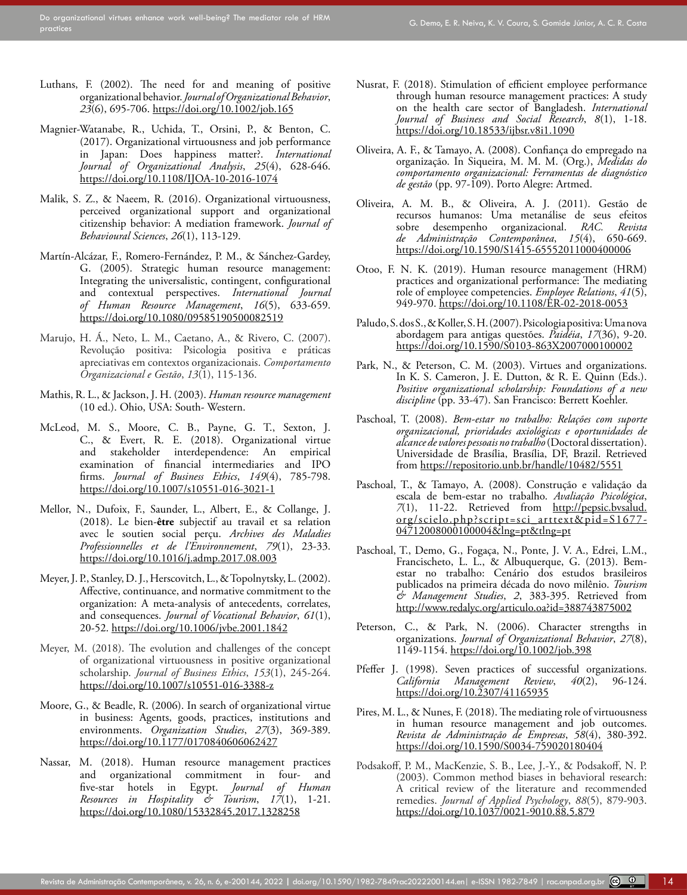- <span id="page-13-0"></span>Luthans, F. (2002). The need for and meaning of positive organizational behavior. *Journal of Organizational Behavior*, *23*(6), 695-706.<https://doi.org/10.1002/job.165>
- <span id="page-13-11"></span>Magnier-Watanabe, R., Uchida, T., Orsini, P., & Benton, C. (2017). Organizational virtuousness and job performance in Japan: Does happiness matter?. *International Journal of Organizational Analysis*, *25*(4), 628-646. [https://doi.org/10.1108/IJOA-10-2016-1074](file:///C:/Users/anpad_09/ANPAD/ANPAD%20-%20Peri%c3%b3dicos%20ANPAD/RAC/Edi%c3%a7%c3%b5es%20e%20Artigos/2022/v26n3/4_RAC-2020-0144/5_Diagrama%c3%a7%c3%a3o/_MTG/%20https:/doi.org/10.1108/IJOA-10-2016-1074)
- <span id="page-13-17"></span>Malik, S. Z., & Naeem, R. (2016). Organizational virtuousness, perceived organizational support and organizational citizenship behavior: A mediation framework. *Journal of Behavioural Sciences*, *26*(1), 113-129.
- Martín-Alcázar, F., Romero-Fernández, P. M., & Sánchez-Gardey, G. (2005). Strategic human resource management: Integrating the universalistic, contingent, configurational and contextual perspectives. *International Journal of Human Resource Management*, *16*(5), 633-659. <https://doi.org/10.1080/09585190500082519>
- <span id="page-13-1"></span>Marujo, H. Á., Neto, L. M., Caetano, A., & Rivero, C. (2007). Revolução positiva: Psicologia positiva e práticas apreciativas em contextos organizacionais. *Comportamento Organizacional e Gestão*, *13*(1), 115-136.
- <span id="page-13-19"></span>Mathis, R. L., & Jackson, J. H. (2003). *Human resource management* (10 ed.). Ohio, USA: South- Western.
- <span id="page-13-13"></span>McLeod, M. S., Moore, C. B., Payne, G. T., Sexton, J. C., & Evert, R. E. (2018). Organizational virtue and stakeholder interdependence: An empirical examination of financial intermediaries and IPO firms. *Journal of Business Ethics*, *149*(4), 785-798. <https://doi.org/10.1007/s10551-016-3021-1>
- <span id="page-13-10"></span>Mellor, N., Dufoix, F., Saunder, L., Albert, E., & Collange, J. (2018). Le bien-**être** subjectif au travail et sa relation avec le soutien social perçu. *Archives des Maladies Professionnelles et de l'Environnement*, *79*(1), 23-33. <https://doi.org/10.1016/j.admp.2017.08.003>
- <span id="page-13-15"></span>Meyer, J. P., Stanley, D. J., Herscovitch, L., & Topolnytsky, L. (2002). Affective, continuance, and normative commitment to the organization: A meta-analysis of antecedents, correlates, and consequences. *Journal of Vocational Behavior*, *61*(1), 20-52.<https://doi.org/10.1006/jvbe.2001.1842>
- <span id="page-13-16"></span>Meyer, M. (2018). The evolution and challenges of the concept of organizational virtuousness in positive organizational scholarship. *Journal of Business Ethics*, *153*(1), 245-264. <https://doi.org/10.1007/s10551-016-3388-z>
- <span id="page-13-3"></span>Moore, G., & Beadle, R. (2006). In search of organizational virtue in business: Agents, goods, practices, institutions and environments. *Organization Studies*, *27*(3), 369-389. [https://doi.org/10.1177/0170840606062427](https://doi.org/10.1177%2F0170840606062427)
- <span id="page-13-21"></span>Nassar, M. (2018). Human resource management practices and organizational commitment in four- and five-star hotels in Egypt. *Journal of Human Resources in Hospitality & Tourism*, *17*(1), 1-21. <https://doi.org/10.1080/15332845.2017.1328258>
- <span id="page-13-4"></span>Nusrat, F. (2018). Stimulation of efficient employee performance through human resource management practices: A study on the health care sector of Bangladesh. *International Journal of Business and Social Research*, *8*(1), 1-18. <https://doi.org/10.18533/ijbsr.v8i1.1090>
- <span id="page-13-2"></span>Oliveira, A. F., & Tamayo, A. (2008). Confiança do empregado na organização. In Siqueira, M. M. M. (Org.), *Medidas do comportamento organizacional: Ferramentas de diagnóstico de gestão* (pp. 97-109). Porto Alegre: Artmed.
- <span id="page-13-20"></span>Oliveira, A. M. B., & Oliveira, A. J. (2011). Gestão de recursos humanos: Uma metanálise de seus efeitos<br>sobre desempenho organizacional. *RAC. Revista* sobre desempenho organizacional. *RAC. Revista de Administração Contemporânea*, *15*(4), 650-669. <https://doi.org/10.1590/S1415-65552011000400006>
- <span id="page-13-22"></span>Otoo, F. N. K. (2019). Human resource management (HRM) practices and organizational performance: The mediating role of employee competencies. *Employee Relations*, *41*(5), 949-970. <https://doi.org/10.1108/ER-02-2018-0053>
- <span id="page-13-8"></span>Paludo, S. dos S., & Koller, S. H. (2007). Psicologia positiva: Uma nova abordagem para antigas questões. *Paidéia*, *17*(36), 9-20. <https://doi.org/10.1590/S0103-863X2007000100002>
- <span id="page-13-14"></span>Park, N., & Peterson, C. M. (2003). Virtues and organizations. In K. S. Cameron, J. E. Dutton, & R. E. Quinn (Eds.). *Positive organizational scholarship: Foundations of a new discipline* (pp. 33-47). San Francisco: Berrett Koehler.
- <span id="page-13-9"></span>Paschoal, T. (2008). *Bem-estar no trabalho: Relações com suporte organizacional, prioridades axiológicas e oportunidades de alcance de valores pessoais no trabalho* (Doctoral dissertation). Universidade de Brasília, Brasília, DF, Brazil. Retrieved from <https://repositorio.unb.br/handle/10482/5551>
- <span id="page-13-7"></span>Paschoal, T., & Tamayo, A. (2008). Construção e validação da escala de bem-estar no trabalho. *Avaliação Psicológica*, *7*(1), 11-22. Retrieved from [http://pepsic.bvsalud.](http://pepsic.bvsalud.org/scielo.php?script=sci_arttext&pid=S1677-04712008000100004&lng=pt&tlng=pt.) [org/scielo.php?script=sci\\_arttext&pid=S1677-](http://pepsic.bvsalud.org/scielo.php?script=sci_arttext&pid=S1677-04712008000100004&lng=pt&tlng=pt.) [04712008000100004&lng=pt&tlng=pt](http://pepsic.bvsalud.org/scielo.php?script=sci_arttext&pid=S1677-04712008000100004&lng=pt&tlng=pt.)
- <span id="page-13-6"></span>Paschoal, T., Demo, G., Fogaça, N., Ponte, J. V. A., Edrei, L.M., Francischeto, L. L., & Albuquerque, G. (2013). Bemestar no trabalho: Cenário dos estudos brasileiros publicados na primeira década do novo milênio. *Tourism & Management Studies*, *2*, 383-395. Retrieved from <http://www.redalyc.org/articulo.oa?id=388743875002>
- <span id="page-13-12"></span>Peterson, C., & Park, N. (2006). Character strengths in organizations. *Journal of Organizational Behavior*, *27*(8), 1149-1154. <https://doi.org/10.1002/job.398>
- <span id="page-13-18"></span>Pfeffer J. (1998). Seven practices of successful organizations.<br>California Management Review, 40(2), 96-124. *California Management Review*, *40*(2), 96-124. [https://doi.org/10.2307/41165935](https://doi.org/10.2307/41165935 )
- <span id="page-13-5"></span>Pires, M. L., & Nunes, F. (2018). The mediating role of virtuousness in human resource management and job outcomes. *Revista de Administração de Empresas*, *58*(4), 380-392. [https://doi.org/10.1590/S0034-759020180404](https://doi.org/10.1590/S0034-759020180404 )
- <span id="page-13-23"></span>Podsakoff, P. M., MacKenzie, S. B., Lee, J.-Y., & Podsakoff, N. P. (2003). Common method biases in behavioral research: A critical review of the literature and recommended remedies. *Journal of Applied Psychology*, *88*(5), 879-903. <https://doi.org/10.1037/0021-9010.88.5.879>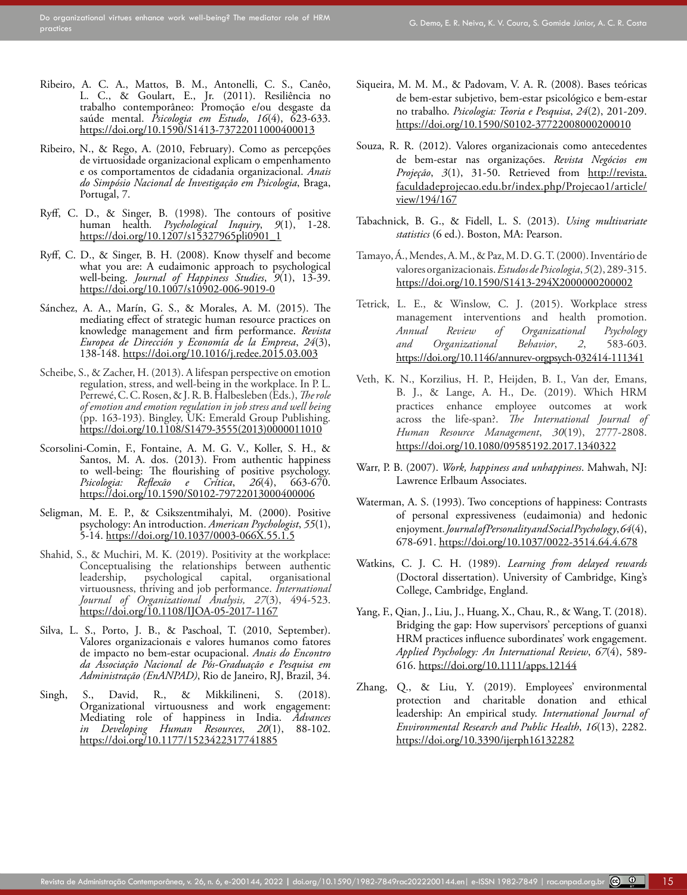- Ribeiro, A. C. A., Mattos, B. M., Antonelli, C. S., Canêo, L. C., & Goulart, E., Jr. (2011). Resiliência no trabalho contemporâneo: Promoção e/ou desgaste da saúde mental. *Psicologia em Estudo*, *16*(4), 623-633. <https://doi.org/10.1590/S1413-73722011000400013>
- <span id="page-14-7"></span>Ribeiro, N., & Rego, A. (2010, February). Como as percepções de virtuosidade organizacional explicam o empenhamento e os comportamentos de cidadania organizacional. *Anais do Simpósio Nacional de Investigação em Psicologia*, Braga, Portugal, 7.
- <span id="page-14-0"></span>Ryff, C. D., & Singer, B. (1998). The contours of positive human health*. Psychological Inquiry*, *9*(1), 1-28. [https://doi.org/10.1207/s15327965pli0901\\_1](https://psycnet.apa.org/doi/10.1207/s15327965pli0901_1)
- Ryff, C. D., & Singer, B. H. (2008). Know thyself and become what you are: A eudaimonic approach to psychological well-being. *Journal of Happiness Studies*, *9*(1), 13-39. <https://doi.org/10.1007/s10902-006-9019-0>
- Sánchez, A. A., Marín, G. S., & Morales, A. M. (2015). The mediating effect of strategic human resource practices on knowledge management and firm performance. *Revista Europea de Dirección y Economía de la Empresa*, *24*(3), 138-148.<https://doi.org/10.1016/j.redee.2015.03.003>
- <span id="page-14-3"></span>Scheibe, S., & Zacher, H. (2013). A lifespan perspective on emotion regulation, stress, and well-being in the workplace. In P. L. Perrewé, C. C. Rosen, & J. R. B. Halbesleben (Eds.), *The role of emotion and emotion regulation in job stress and well being* (pp. 163-193). Bingley, UK: Emerald Group Publishing. [https://doi.org/10.1108/S1479-3555\(2013\)0000011010](https://doi.org/10.1108/S1479-3555(2013)0000011010)
- <span id="page-14-6"></span>Scorsolini-Comin, F., Fontaine, A. M. G. V., Koller, S. H., & Santos, M. A. dos. (2013). From authentic happiness to well-being: The flourishing of positive psychology. *Psicologia: Reflexão e Crítica*, *26*(4), 663-670. [https://doi.org/10.1590/S0102-79722013000400006](https://psycnet.apa.org/doi/10.1590/S0102-79722013000400006)
- <span id="page-14-8"></span>Seligman, M. E. P., & Csikszentmihalyi, M. (2000). Positive psychology: An introduction. *American Psychologist*, *55*(1), 5-14. [https://doi.org/10.1037/0003-066X.55.1.5](https://psycnet.apa.org/doi/10.1037/0003-066X.55.1.5)
- <span id="page-14-9"></span>Shahid, S., & Muchiri, M. K. (2019). Positivity at the workplace: Conceptualising the relationships between authentic leadership, psychological capital, organisational virtuousness, thriving and job performance. *International Journal of Organizational Analysis, 27*(3), 494-523. <https://doi.org/10.1108/IJOA-05-2017-1167>
- <span id="page-14-4"></span>Silva, L. S., Porto, J. B., & Paschoal, T. (2010, September). Valores organizacionais e valores humanos como fatores de impacto no bem-estar ocupacional. *Anais do Encontro da Associação Nacional de Pós-Graduação e Pesquisa em Administração (EnANPAD)*, Rio de Janeiro, RJ, Brazil, 34.
- <span id="page-14-1"></span>Singh, S., David, R., & Mikkilineni, S. (2018). Organizational virtuousness and work engagement: Mediating role of happiness in India. *Advances in Developing Human Resources*, *20*(1), 88-102. [https://doi.org/10.1177/1523422317741885](https://psycnet.apa.org/doi/10.1177/1523422317741885)
- <span id="page-14-2"></span>Siqueira, M. M. M., & Padovam, V. A. R. (2008). Bases teóricas de bem-estar subjetivo, bem-estar psicológico e bem-estar no trabalho. *Psicologia: Teoria e Pesquisa*, *24*(2), 201-209. <https://doi.org/10.1590/S0102-37722008000200010>
- <span id="page-14-5"></span>Souza, R. R. (2012). Valores organizacionais como antecedentes de bem-estar nas organizações. *Revista Negócios em Projeção*, *3*(1), 31-50. Retrieved from [http://revista.](http://revista.faculdadeprojecao.edu.br/index.php/Projecao1/article/view/194/167) [faculdadeprojecao.edu.br/index.php/Projecao1/article/](http://revista.faculdadeprojecao.edu.br/index.php/Projecao1/article/view/194/167) [view/194/167](http://revista.faculdadeprojecao.edu.br/index.php/Projecao1/article/view/194/167)
- Tabachnick, B. G., & Fidell, L. S. (2013). *Using multivariate statistics* (6 ed.). Boston, MA: Pearson.
- Tamayo, Á., Mendes, A. M., & Paz, M. D. G. T. (2000). Inventário de valores organizacionais. *Estudos de Psicologia*, *5*(2), 289-315. <https://doi.org/10.1590/S1413-294X2000000200002>
- Tetrick, L. E., & Winslow, C. J. (2015). Workplace stress management interventions and health promotion. *Annual Review of Organizational Psychology and Organizational Behavior*, *2*, 583-603. <https://doi.org/10.1146/annurev-orgpsych-032414-111341>
- Veth, K. N., Korzilius, H. P., Heijden, B. I., Van der, Emans, B. J., & Lange, A. H., De. (2019). Which HRM practices enhance employee outcomes at work across the life-span?. *The International Journal of Human Resource Management*, *30*(19), 2777-2808. [https://doi.org/10.1080/09585192.2017.1340322](https://psycnet.apa.org/doi/10.1080/09585192.2017.1340322)
- Warr, P. B. (2007). *Work, happiness and unhappiness*. Mahwah, NJ: Lawrence Erlbaum Associates.
- Waterman, A. S. (1993). Two conceptions of happiness: Contrasts of personal expressiveness (eudaimonia) and hedonic enjoyment*. Journal of Personality and Social Psychology*, *64*(4), 678-691. <https://doi.org/10.1037/0022-3514.64.4.678>
- Watkins, C. J. C. H. (1989). *Learning from delayed rewards* (Doctoral dissertation). University of Cambridge, King's College, Cambridge, England.
- Yang, F., Qian, J., Liu, J., Huang, X., Chau, R., & Wang, T. (2018). Bridging the gap: How supervisors' perceptions of guanxi HRM practices influence subordinates' work engagement. *Applied Psychology: An International Review*, *67*(4), 589- 616. [https://doi.org/10.1111/apps.12144](https://psycnet.apa.org/doi/10.1111/apps.12144)
- Zhang, Q., & Liu, Y. (2019). Employees' environmental protection and charitable donation and ethical leadership: An empirical study. *International Journal of Environmental Research and Public Health*, *16*(13), 2282. <https://doi.org/10.3390/ijerph16132282>